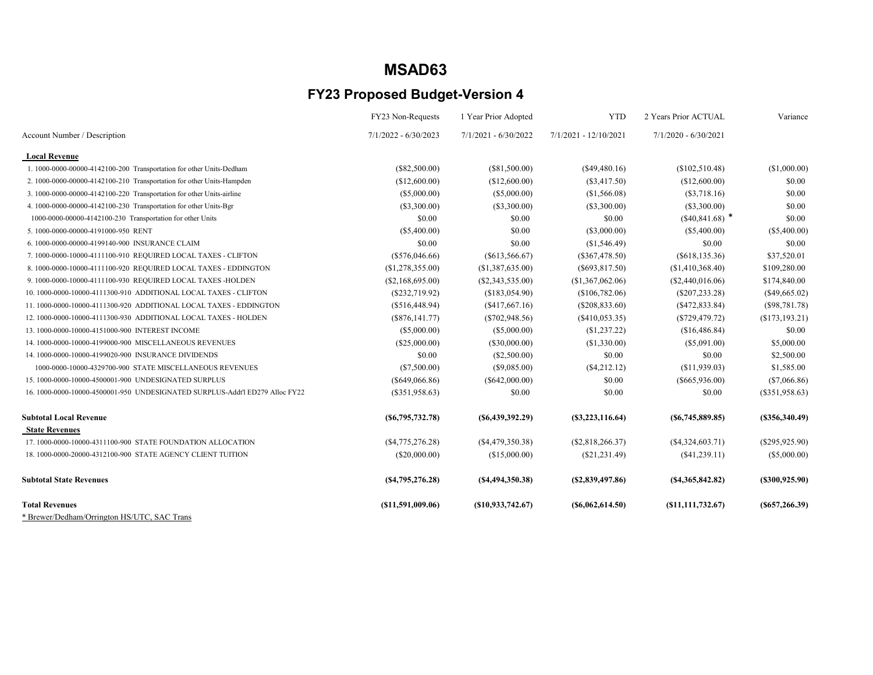|                                                                              | FY23 Non-Requests    | 1 Year Prior Adopted   | <b>YTD</b>            | 2 Years Prior ACTUAL | Variance         |
|------------------------------------------------------------------------------|----------------------|------------------------|-----------------------|----------------------|------------------|
| Account Number / Description                                                 | 7/1/2022 - 6/30/2023 | $7/1/2021 - 6/30/2022$ | 7/1/2021 - 12/10/2021 | 7/1/2020 - 6/30/2021 |                  |
| <b>Local Revenue</b>                                                         |                      |                        |                       |                      |                  |
| 1. 1000-0000-00000-4142100-200 Transportation for other Units-Dedham         | $(\$82,500.00)$      | (\$81,500.00)          | $(\$49,480.16)$       | (\$102,510.48)       | (\$1,000.00)     |
| 2. 1000-0000-00000-4142100-210 Transportation for other Units-Hampden        | (\$12,600.00)        | (\$12,600.00)          | $(\$3,417.50)$        | (\$12,600.00)        | \$0.00           |
| 3. 1000-0000-00000-4142100-220 Transportation for other Units-airline        | $(\$5,000.00)$       | (\$5,000.00)           | (\$1,566.08)          | (S3,718.16)          | \$0.00           |
| 4. 1000-0000-00000-4142100-230 Transportation for other Units-Bgr            | $(\$3,300.00)$       | (S3,300.00)            | $(\$3,300.00)$        | $(\$3,300.00)$       | \$0.00           |
| 1000-0000-00000-4142100-230 Transportation for other Units                   | \$0.00               | \$0.00                 | \$0.00                | $(*40,841.68)$ *     | \$0.00           |
| 5.1000-0000-00000-4191000-950 RENT                                           | $(\$5,400.00)$       | \$0.00                 | (\$3,000.00)          | $(\$5,400.00)$       | $(\$5,400.00)$   |
| 6.1000-0000-00000-4199140-900 INSURANCE CLAIM                                | \$0.00               | \$0.00                 | (\$1,546.49)          | \$0.00               | \$0.00           |
| 7. 1000-0000-10000-4111100-910 REQUIRED LOCAL TAXES - CLIFTON                | $(\$576,046.66)$     | (\$613,566.67)         | $(\$367,478.50)$      | $(\$618,135.36)$     | \$37,520.01      |
| 8. 1000-0000-10000-4111100-920 REQUIRED LOCAL TAXES - EDDINGTON              | (\$1,278,355.00)     | (\$1,387,635.00)       | $(\$693,817.50)$      | (\$1,410,368.40)     | \$109,280.00     |
| 9. 1000-0000-10000-4111100-930 REQUIRED LOCAL TAXES -HOLDEN                  | (S2, 168, 695.00)    | (S2, 343, 535.00)      | (\$1,367,062.06)      | (\$2,440,016.06)     | \$174,840.00     |
| 10. 1000-0000-10000-4111300-910 ADDITIONAL LOCAL TAXES - CLIFTON             | (\$232,719.92)       | (\$183,054.90)         | (\$106,782.06)        | (S207, 233.28)       | $(\$49,665.02)$  |
| 11. 1000-0000-10000-4111300-920 ADDITIONAL LOCAL TAXES - EDDINGTON           | (\$516,448.94)       | (S417, 667.16)         | (S208, 833.60)        | (S472, 833.84)       | $(\$98,781.78)$  |
| 12. 1000-0000-10000-4111300-930 ADDITIONAL LOCAL TAXES - HOLDEN              | $(\$876, 141.77)$    | $(\$702,948.56)$       | (S410, 053.35)        | (S729, 479.72)       | (\$173,193.21)   |
| 13.1000-0000-10000-4151000-900 INTEREST INCOME                               | (\$5,000.00)         | (\$5,000.00)           | (\$1,237.22)          | (\$16,486.84)        | \$0.00           |
| 14. 1000-0000-10000-4199000-900 MISCELLANEOUS REVENUES                       | $(\$25,000.00)$      | $(\$30,000.00)$        | (\$1,330.00)          | $(\$5,091.00)$       | \$5,000.00       |
| 14. 1000-0000-10000-4199020-900 INSURANCE DIVIDENDS                          | \$0.00               | (\$2,500.00)           | \$0.00                | \$0.00               | \$2,500.00       |
| 1000-0000-10000-4329700-900 STATE MISCELLANEOUS REVENUES                     | (S7,500.00)          | (S9,085.00)            | $(\$4,212.12)$        | (S11, 939.03)        | \$1,585.00       |
| 15. 1000-0000-10000-4500001-900 UNDESIGNATED SURPLUS                         | $(\$649,066.86)$     | $(\$642,000.00)$       | \$0.00                | $(\$665,936.00)$     | $(\$7,066.86)$   |
| 16, 1000-0000-10000-4500001-950 UNDESIGNATED SURPLUS-Addt'l ED279 Alloc FY22 | (\$351,958.63)       | \$0.00                 | \$0.00                | \$0.00               | $(\$351,958.63)$ |
| <b>Subtotal Local Revenue</b>                                                | (S6, 795, 732.78)    | ( \$6,439,392.29)      | (S3, 223, 116.64)     | (S6, 745, 889.85)    | (S356, 340.49)   |
| <b>State Revenues</b>                                                        |                      |                        |                       |                      |                  |
| 17. 1000-0000-10000-4311100-900 STATE FOUNDATION ALLOCATION                  | (S4, 775, 276.28)    | (S4, 479, 350.38)      | (\$2,818,266.37)      | (S4,324,603.71)      | $(\$295,925.90)$ |
| 18. 1000-0000-20000-4312100-900 STATE AGENCY CLIENT TUITION                  | $(\$20,000.00)$      | (\$15,000.00)          | (S21, 231.49)         | $(\$41,239.11)$      | (\$5,000.00)     |
| <b>Subtotal State Revenues</b>                                               | (S4, 795, 276.28)    | ( \$4,494,350.38)      | (S2, 839, 497.86)     | (S4,365,842.82)      | (S300, 925.90)   |
| <b>Total Revenues</b>                                                        | $($ \$11,591,009.06) | (S10, 933, 742.67)     | (S6,062,614.50)       | (S11, 111, 732.67)   | (S657, 266.39)   |
| * Brewer/Dedham/Orrington HS/UTC, SAC Trans                                  |                      |                        |                       |                      |                  |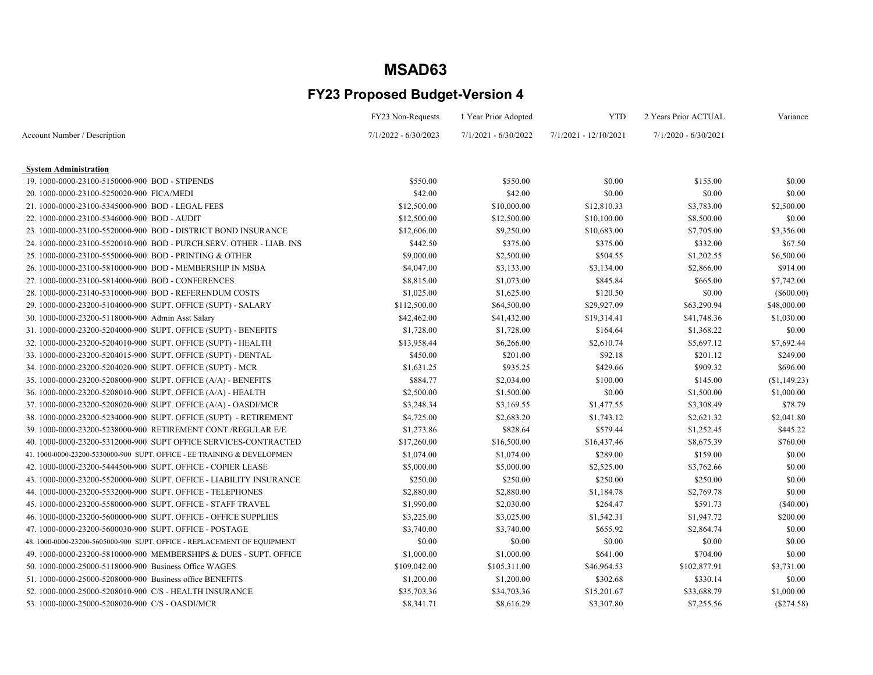|                                                                         | FY23 Non-Requests      | 1 Year Prior Adopted   | <b>YTD</b>            | 2 Years Prior ACTUAL   | Variance      |
|-------------------------------------------------------------------------|------------------------|------------------------|-----------------------|------------------------|---------------|
| Account Number / Description                                            | $7/1/2022 - 6/30/2023$ | $7/1/2021 - 6/30/2022$ | 7/1/2021 - 12/10/2021 | $7/1/2020 - 6/30/2021$ |               |
|                                                                         |                        |                        |                       |                        |               |
| <b>System Administration</b>                                            |                        |                        |                       |                        |               |
| 19.1000-0000-23100-5150000-900 BOD - STIPENDS                           | \$550.00               | \$550.00               | \$0.00                | \$155.00               | \$0.00        |
| 20.1000-0000-23100-5250020-900 FICA/MEDI                                | \$42.00                | \$42.00                | \$0.00                | \$0.00                 | \$0.00        |
| 21.1000-0000-23100-5345000-900 BOD - LEGAL FEES                         | \$12,500.00            | \$10,000.00            | \$12,810.33           | \$3,783.00             | \$2,500.00    |
| 22. 1000-0000-23100-5346000-900 BOD - AUDIT                             | \$12,500.00            | \$12,500.00            | \$10,100.00           | \$8,500.00             | \$0.00        |
| 23. 1000-0000-23100-5520000-900 BOD - DISTRICT BOND INSURANCE           | \$12,606.00            | \$9,250.00             | \$10,683.00           | \$7,705.00             | \$3,356.00    |
| 24. 1000-0000-23100-5520010-900 BOD - PURCH.SERV. OTHER - LIAB. INS     | \$442.50               | \$375.00               | \$375.00              | \$332.00               | \$67.50       |
| 25.1000-0000-23100-5550000-900 BOD - PRINTING & OTHER                   | \$9,000.00             | \$2,500.00             | \$504.55              | \$1,202.55             | \$6,500.00    |
| 26. 1000-0000-23100-5810000-900 BOD - MEMBERSHIP IN MSBA                | \$4,047.00             | \$3,133.00             | \$3,134.00            | \$2,866.00             | \$914.00      |
| 27.1000-0000-23100-5814000-900 BOD - CONFERENCES                        | \$8,815.00             | \$1,073.00             | \$845.84              | \$665.00               | \$7,742.00    |
| 28.1000-0000-23140-5310000-900 BOD - REFERENDUM COSTS                   | \$1,025.00             | \$1,625.00             | \$120.50              | \$0.00                 | $($ \$600.00) |
| 29. 1000-0000-23200-5104000-900 SUPT. OFFICE (SUPT) - SALARY            | \$112,500.00           | \$64,500.00            | \$29,927.09           | \$63,290.94            | \$48,000.00   |
| 30. 1000-0000-23200-5118000-900 Admin Asst Salary                       | \$42,462.00            | \$41,432.00            | \$19,314.41           | \$41,748.36            | \$1,030.00    |
| 31.1000-0000-23200-5204000-900 SUPT. OFFICE (SUPT) - BENEFITS           | \$1,728.00             | \$1,728.00             | \$164.64              | \$1,368.22             | \$0.00        |
| 32. 1000-0000-23200-5204010-900 SUPT. OFFICE (SUPT) - HEALTH            | \$13,958.44            | \$6,266.00             | \$2,610.74            | \$5,697.12             | \$7,692.44    |
| 33. 1000-0000-23200-5204015-900 SUPT. OFFICE (SUPT) - DENTAL            | \$450.00               | \$201.00               | \$92.18               | \$201.12               | \$249.00      |
| 34. 1000-0000-23200-5204020-900 SUPT. OFFICE (SUPT) - MCR               | \$1,631.25             | \$935.25               | \$429.66              | \$909.32               | \$696.00      |
| 35. 1000-0000-23200-5208000-900 SUPT. OFFICE (A/A) - BENEFITS           | \$884.77               | \$2,034.00             | \$100.00              | \$145.00               | (\$1,149.23)  |
| 36. 1000-0000-23200-5208010-900 SUPT. OFFICE (A/A) - HEALTH             | \$2,500.00             | \$1,500.00             | \$0.00                | \$1,500.00             | \$1,000.00    |
| 37. 1000-0000-23200-5208020-900 SUPT. OFFICE (A/A) - OASDI/MCR          | \$3,248.34             | \$3,169.55             | \$1,477.55            | \$3,308.49             | \$78.79       |
| 38. 1000-0000-23200-5234000-900 SUPT. OFFICE (SUPT) - RETIREMENT        | \$4,725.00             | \$2,683.20             | \$1,743.12            | \$2,621.32             | \$2,041.80    |
| 39. 1000-0000-23200-5238000-900 RETIREMENT CONT./REGULAR E/E            | \$1,273.86             | \$828.64               | \$579.44              | \$1,252.45             | \$445.22      |
| 40.1000-0000-23200-5312000-900 SUPT OFFICE SERVICES-CONTRACTED          | \$17,260.00            | \$16,500.00            | \$16,437.46           | \$8,675.39             | \$760.00      |
| 41. 1000-0000-23200-5330000-900 SUPT. OFFICE - EE TRAINING & DEVELOPMEN | \$1,074.00             | \$1,074.00             | \$289.00              | \$159.00               | \$0.00        |
| 42. 1000-0000-23200-5444500-900 SUPT. OFFICE - COPIER LEASE             | \$5,000.00             | \$5,000.00             | \$2,525.00            | \$3,762.66             | \$0.00        |
| 43. 1000-0000-23200-5520000-900 SUPT. OFFICE - LIABILITY INSURANCE      | \$250.00               | \$250.00               | \$250.00              | \$250.00               | \$0.00        |
| 44.1000-0000-23200-5532000-900 SUPT. OFFICE - TELEPHONES                | \$2,880.00             | \$2,880.00             | \$1,184.78            | \$2,769.78             | \$0.00        |
| 45. 1000-0000-23200-5580000-900 SUPT. OFFICE - STAFF TRAVEL             | \$1,990.00             | \$2,030.00             | \$264.47              | \$591.73               | (\$40.00)     |
| 46. 1000-0000-23200-5600000-900 SUPT. OFFICE - OFFICE SUPPLIES          | \$3,225.00             | \$3,025.00             | \$1,542.31            | \$1,947.72             | \$200.00      |
| 47.1000-0000-23200-5600030-900 SUPT. OFFICE - POSTAGE                   | \$3,740.00             | \$3,740.00             | \$655.92              | \$2,864.74             | \$0.00        |
| 48. 1000-0000-23200-5605000-900 SUPT. OFFICE - REPLACEMENT OF EQUIPMENT | \$0.00                 | \$0.00                 | \$0.00                | \$0.00                 | \$0.00        |
| 49. 1000-0000-23200-5810000-900 MEMBERSHIPS & DUES - SUPT. OFFICE       | \$1,000.00             | \$1,000.00             | \$641.00              | \$704.00               | \$0.00        |
| 50. 1000-0000-25000-5118000-900 Business Office WAGES                   | \$109,042.00           | \$105,311.00           | \$46,964.53           | \$102,877.91           | \$3,731.00    |
| 51.1000-0000-25000-5208000-900 Business office BENEFITS                 | \$1,200.00             | \$1,200.00             | \$302.68              | \$330.14               | \$0.00        |
| 52. 1000-0000-25000-5208010-900 C/S - HEALTH INSURANCE                  | \$35,703.36            | \$34,703.36            | \$15,201.67           | \$33,688.79            | \$1,000.00    |
| 53.1000-0000-25000-5208020-900 C/S - OASDI/MCR                          | \$8,341.71             | \$8,616.29             | \$3,307.80            | \$7,255.56             | $(\$274.58)$  |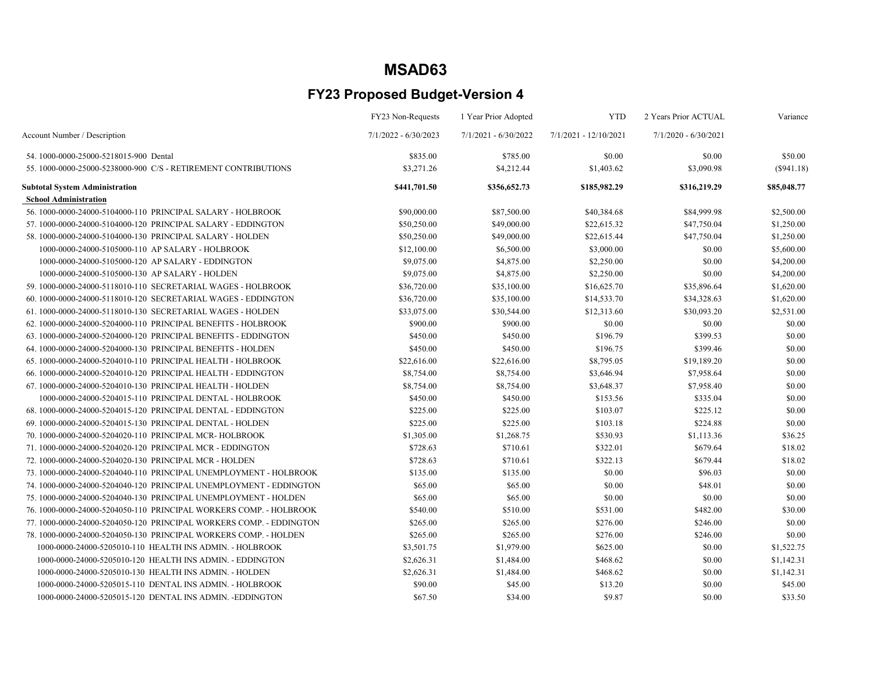|                                                                     | FY23 Non-Requests      | 1 Year Prior Adopted   | <b>YTD</b>            | 2 Years Prior ACTUAL   | Variance     |
|---------------------------------------------------------------------|------------------------|------------------------|-----------------------|------------------------|--------------|
| Account Number / Description                                        | $7/1/2022 - 6/30/2023$ | $7/1/2021 - 6/30/2022$ | 7/1/2021 - 12/10/2021 | $7/1/2020 - 6/30/2021$ |              |
| 54.1000-0000-25000-5218015-900 Dental                               | \$835.00               | \$785.00               | \$0.00                | \$0.00                 | \$50.00      |
| 55. 1000-0000-25000-5238000-900 C/S - RETIREMENT CONTRIBUTIONS      | \$3,271.26             | \$4,212.44             | \$1,403.62            | \$3,090.98             | $(\$941.18)$ |
| <b>Subtotal System Administration</b>                               | \$441,701.50           | \$356,652.73           | \$185,982.29          | \$316,219.29           | \$85,048.77  |
| <b>School Administration</b>                                        |                        |                        |                       |                        |              |
| 56.1000-0000-24000-5104000-110 PRINCIPAL SALARY - HOLBROOK          | \$90,000.00            | \$87,500.00            | \$40,384.68           | \$84,999.98            | \$2,500.00   |
| 57.1000-0000-24000-5104000-120 PRINCIPAL SALARY - EDDINGTON         | \$50,250.00            | \$49,000.00            | \$22,615.32           | \$47,750.04            | \$1,250.00   |
| 58.1000-0000-24000-5104000-130 PRINCIPAL SALARY - HOLDEN            | \$50,250.00            | \$49,000.00            | \$22,615.44           | \$47,750.04            | \$1,250.00   |
| 1000-0000-24000-5105000-110 AP SALARY - HOLBROOK                    | \$12,100.00            | \$6,500.00             | \$3,000.00            | \$0.00                 | \$5,600.00   |
| 1000-0000-24000-5105000-120 AP SALARY - EDDINGTON                   | \$9,075.00             | \$4,875.00             | \$2,250.00            | \$0.00                 | \$4,200.00   |
| 1000-0000-24000-5105000-130 AP SALARY - HOLDEN                      | \$9,075.00             | \$4,875.00             | \$2,250.00            | \$0.00                 | \$4,200.00   |
| 59. 1000-0000-24000-5118010-110 SECRETARIAL WAGES - HOLBROOK        | \$36,720.00            | \$35,100.00            | \$16,625.70           | \$35,896.64            | \$1,620.00   |
| 60, 1000-0000-24000-5118010-120 SECRETARIAL WAGES - EDDINGTON       | \$36,720.00            | \$35,100.00            | \$14,533.70           | \$34,328.63            | \$1,620.00   |
| 61.1000-0000-24000-5118010-130 SECRETARIAL WAGES - HOLDEN           | \$33,075.00            | \$30,544.00            | \$12,313.60           | \$30,093.20            | \$2,531.00   |
| 62. 1000-0000-24000-5204000-110 PRINCIPAL BENEFITS - HOLBROOK       | \$900.00               | \$900.00               | \$0.00                | \$0.00                 | \$0.00       |
| 63. 1000-0000-24000-5204000-120 PRINCIPAL BENEFITS - EDDINGTON      | \$450.00               | \$450.00               | \$196.79              | \$399.53               | \$0.00       |
| 64. 1000-0000-24000-5204000-130 PRINCIPAL BENEFITS - HOLDEN         | \$450.00               | \$450.00               | \$196.75              | \$399.46               | \$0.00       |
| 65. 1000-0000-24000-5204010-110 PRINCIPAL HEALTH - HOLBROOK         | \$22,616.00            | \$22,616.00            | \$8,795.05            | \$19,189.20            | \$0.00       |
| 66.1000-0000-24000-5204010-120 PRINCIPAL HEALTH - EDDINGTON         | \$8,754.00             | \$8,754.00             | \$3,646.94            | \$7,958.64             | \$0.00       |
| 67.1000-0000-24000-5204010-130 PRINCIPAL HEALTH - HOLDEN            | \$8,754.00             | \$8,754.00             | \$3,648.37            | \$7,958.40             | \$0.00       |
| 1000-0000-24000-5204015-110 PRINCIPAL DENTAL - HOLBROOK             | \$450.00               | \$450.00               | \$153.56              | \$335.04               | \$0.00       |
| 68.1000-0000-24000-5204015-120 PRINCIPAL DENTAL - EDDINGTON         | \$225.00               | \$225.00               | \$103.07              | \$225.12               | \$0.00       |
| 69. 1000-0000-24000-5204015-130 PRINCIPAL DENTAL - HOLDEN           | \$225.00               | \$225.00               | \$103.18              | \$224.88               | \$0.00       |
| 70. 1000-0000-24000-5204020-110 PRINCIPAL MCR- HOLBROOK             | \$1,305.00             | \$1,268.75             | \$530.93              | \$1,113.36             | \$36.25      |
| 71.1000-0000-24000-5204020-120 PRINCIPAL MCR - EDDINGTON            | \$728.63               | \$710.61               | \$322.01              | \$679.64               | \$18.02      |
| 72. 1000-0000-24000-5204020-130 PRINCIPAL MCR - HOLDEN              | \$728.63               | \$710.61               | \$322.13              | \$679.44               | \$18.02      |
| 73. 1000-0000-24000-5204040-110 PRINCIPAL UNEMPLOYMENT - HOLBROOK   | \$135.00               | \$135.00               | \$0.00                | \$96.03                | \$0.00       |
| 74. 1000-0000-24000-5204040-120 PRINCIPAL UNEMPLOYMENT - EDDINGTON  | \$65.00                | \$65.00                | \$0.00                | \$48.01                | \$0.00       |
| 75. 1000-0000-24000-5204040-130 PRINCIPAL UNEMPLOYMENT - HOLDEN     | \$65.00                | \$65.00                | \$0.00                | \$0.00                 | \$0.00       |
| 76. 1000-0000-24000-5204050-110 PRINCIPAL WORKERS COMP. - HOLBROOK  | \$540.00               | \$510.00               | \$531.00              | \$482.00               | \$30.00      |
| 77. 1000-0000-24000-5204050-120 PRINCIPAL WORKERS COMP. - EDDINGTON | \$265.00               | \$265.00               | \$276.00              | \$246.00               | \$0.00       |
| 78. 1000-0000-24000-5204050-130 PRINCIPAL WORKERS COMP. - HOLDEN    | \$265.00               | \$265.00               | \$276.00              | \$246.00               | \$0.00       |
| 1000-0000-24000-5205010-110 HEALTH INS ADMIN. - HOLBROOK            | \$3,501.75             | \$1,979.00             | \$625.00              | \$0.00                 | \$1,522.75   |
| 1000-0000-24000-5205010-120 HEALTH INS ADMIN. - EDDINGTON           | \$2,626.31             | \$1,484.00             | \$468.62              | \$0.00                 | \$1,142.31   |
| 1000-0000-24000-5205010-130 HEALTH INS ADMIN. - HOLDEN              | \$2,626.31             | \$1,484.00             | \$468.62              | \$0.00                 | \$1,142.31   |
| 1000-0000-24000-5205015-110 DENTAL INS ADMIN. - HOLBROOK            | \$90.00                | \$45.00                | \$13.20               | \$0.00                 | \$45.00      |
| 1000-0000-24000-5205015-120 DENTAL INS ADMIN. -EDDINGTON            | \$67.50                | \$34.00                | \$9.87                | \$0.00                 | \$33.50      |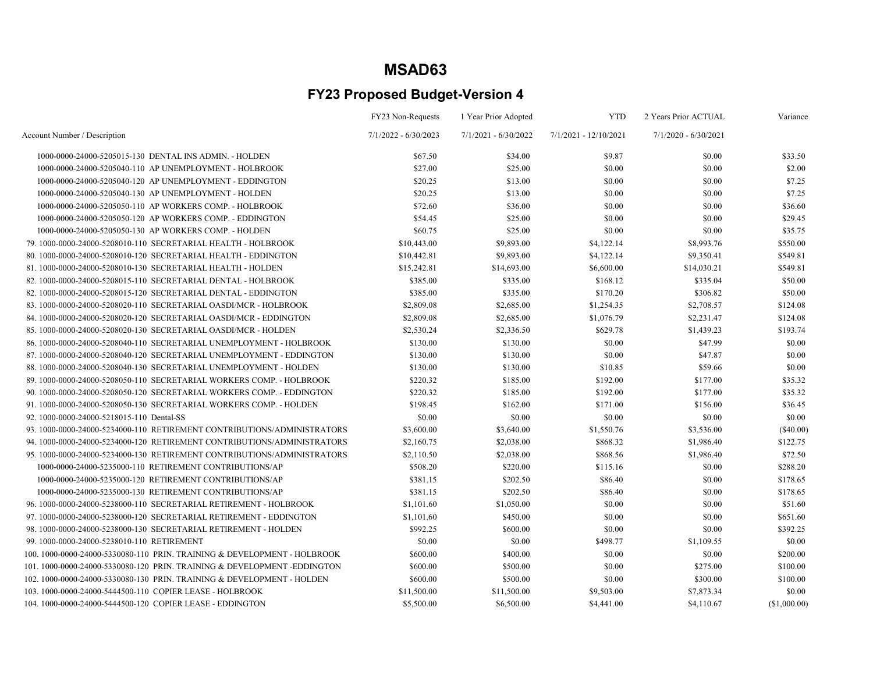|                                                                         | FY23 Non-Requests      | 1 Year Prior Adopted   | <b>YTD</b>            | 2 Years Prior ACTUAL   | Variance     |
|-------------------------------------------------------------------------|------------------------|------------------------|-----------------------|------------------------|--------------|
| Account Number / Description                                            | $7/1/2022 - 6/30/2023$ | $7/1/2021 - 6/30/2022$ | 7/1/2021 - 12/10/2021 | $7/1/2020 - 6/30/2021$ |              |
| 1000-0000-24000-5205015-130 DENTAL INS ADMIN. - HOLDEN                  | \$67.50                | \$34.00                | \$9.87                | \$0.00                 | \$33.50      |
| 1000-0000-24000-5205040-110 AP UNEMPLOYMENT - HOLBROOK                  | \$27.00                | \$25.00                | \$0.00                | \$0.00                 | \$2.00       |
| 1000-0000-24000-5205040-120 AP UNEMPLOYMENT - EDDINGTON                 | \$20.25                | \$13.00                | \$0.00                | \$0.00                 | \$7.25       |
| 1000-0000-24000-5205040-130 AP UNEMPLOYMENT - HOLDEN                    | \$20.25                | \$13.00                | \$0.00                | \$0.00                 | \$7.25       |
| 1000-0000-24000-5205050-110 AP WORKERS COMP. - HOLBROOK                 | \$72.60                | \$36.00                | \$0.00                | \$0.00                 | \$36.60      |
| 1000-0000-24000-5205050-120 AP WORKERS COMP. - EDDINGTON                | \$54.45                | \$25.00                | \$0.00                | \$0.00                 | \$29.45      |
| 1000-0000-24000-5205050-130 AP WORKERS COMP. - HOLDEN                   | \$60.75                | \$25.00                | \$0.00                | \$0.00                 | \$35.75      |
| 79. 1000-0000-24000-5208010-110 SECRETARIAL HEALTH - HOLBROOK           | \$10,443.00            | \$9,893.00             | \$4,122.14            | \$8,993.76             | \$550.00     |
| 80.1000-0000-24000-5208010-120 SECRETARIAL HEALTH - EDDINGTON           | \$10,442.81            | \$9,893.00             | \$4,122.14            | \$9,350.41             | \$549.81     |
| 81.1000-0000-24000-5208010-130 SECRETARIAL HEALTH - HOLDEN              | \$15,242.81            | \$14,693.00            | \$6,600.00            | \$14,030.21            | \$549.81     |
| 82. 1000-0000-24000-5208015-110 SECRETARIAL DENTAL - HOLBROOK           | \$385.00               | \$335.00               | \$168.12              | \$335.04               | \$50.00      |
| 82. 1000-0000-24000-5208015-120 SECRETARIAL DENTAL - EDDINGTON          | \$385.00               | \$335.00               | \$170.20              | \$306.82               | \$50.00      |
| 83. 1000-0000-24000-5208020-110 SECRETARIAL OASDI/MCR - HOLBROOK        | \$2,809.08             | \$2,685.00             | \$1,254.35            | \$2,708.57             | \$124.08     |
| 84.1000-0000-24000-5208020-120 SECRETARIAL OASDI/MCR - EDDINGTON        | \$2,809.08             | \$2,685.00             | \$1,076.79            | \$2,231.47             | \$124.08     |
| 85.1000-0000-24000-5208020-130 SECRETARIAL OASDI/MCR - HOLDEN           | \$2,530.24             | \$2,336.50             | \$629.78              | \$1,439.23             | \$193.74     |
| 86. 1000-0000-24000-5208040-110 SECRETARIAL UNEMPLOYMENT - HOLBROOK     | \$130.00               | \$130.00               | \$0.00                | \$47.99                | \$0.00       |
| 87.1000-0000-24000-5208040-120 SECRETARIAL UNEMPLOYMENT - EDDINGTON     | \$130.00               | \$130.00               | \$0.00                | \$47.87                | \$0.00       |
| 88.1000-0000-24000-5208040-130 SECRETARIAL UNEMPLOYMENT - HOLDEN        | \$130.00               | \$130.00               | \$10.85               | \$59.66                | \$0.00       |
| 89. 1000-0000-24000-5208050-110 SECRETARIAL WORKERS COMP. - HOLBROOK    | \$220.32               | \$185.00               | \$192.00              | \$177.00               | \$35.32      |
| 90. 1000-0000-24000-5208050-120 SECRETARIAL WORKERS COMP. - EDDINGTON   | \$220.32               | \$185.00               | \$192.00              | \$177.00               | \$35.32      |
| 91.1000-0000-24000-5208050-130 SECRETARIAL WORKERS COMP. - HOLDEN       | \$198.45               | \$162.00               | \$171.00              | \$156.00               | \$36.45      |
| 92. 1000-0000-24000-5218015-110 Dental-SS                               | \$0.00                 | \$0.00                 | \$0.00                | \$0.00                 | \$0.00       |
| 93. 1000-0000-24000-5234000-110 RETIREMENT CONTRIBUTIONS/ADMINISTRATORS | \$3,600.00             | \$3,640.00             | \$1,550.76            | \$3,536.00             | $(\$40.00)$  |
| 94. 1000-0000-24000-5234000-120 RETIREMENT CONTRIBUTIONS/ADMINISTRATORS | \$2,160.75             | \$2,038.00             | \$868.32              | \$1,986.40             | \$122.75     |
| 95. 1000-0000-24000-5234000-130 RETIREMENT CONTRIBUTIONS/ADMINISTRATORS | \$2,110.50             | \$2,038.00             | \$868.56              | \$1,986.40             | \$72.50      |
| 1000-0000-24000-5235000-110 RETIREMENT CONTRIBUTIONS/AP                 | \$508.20               | \$220.00               | \$115.16              | \$0.00                 | \$288.20     |
| 1000-0000-24000-5235000-120 RETIREMENT CONTRIBUTIONS/AP                 | \$381.15               | \$202.50               | \$86.40               | \$0.00                 | \$178.65     |
| 1000-0000-24000-5235000-130 RETIREMENT CONTRIBUTIONS/AP                 | \$381.15               | \$202.50               | \$86.40               | \$0.00                 | \$178.65     |
| 96. 1000-0000-24000-5238000-110 SECRETARIAL RETIREMENT - HOLBROOK       | \$1,101.60             | \$1,050.00             | \$0.00                | \$0.00                 | \$51.60      |
| 97.1000-0000-24000-5238000-120 SECRETARIAL RETIREMENT - EDDINGTON       | \$1,101.60             | \$450.00               | \$0.00                | \$0.00                 | \$651.60     |
| 98. 1000-0000-24000-5238000-130 SECRETARIAL RETIREMENT - HOLDEN         | \$992.25               | \$600.00               | \$0.00                | \$0.00                 | \$392.25     |
| 99.1000-0000-24000-5238010-110 RETIREMENT                               | \$0.00                 | \$0.00                 | \$498.77              | \$1,109.55             | \$0.00       |
| 100.1000-0000-24000-5330080-110 PRIN. TRAINING & DEVELOPMENT - HOLBROOK | \$600.00               | \$400.00               | \$0.00                | \$0.00                 | \$200.00     |
| 101.1000-0000-24000-5330080-120 PRIN. TRAINING & DEVELOPMENT -EDDINGTON | \$600.00               | \$500.00               | \$0.00                | \$275.00               | \$100.00     |
| 102.1000-0000-24000-5330080-130 PRIN. TRAINING & DEVELOPMENT - HOLDEN   | \$600.00               | \$500.00               | \$0.00                | \$300.00               | \$100.00     |
| 103.1000-0000-24000-5444500-110 COPIER LEASE - HOLBROOK                 | \$11,500.00            | \$11,500.00            | \$9,503.00            | \$7,873.34             | \$0.00       |
| 104.1000-0000-24000-5444500-120 COPIER LEASE - EDDINGTON                | \$5,500.00             | \$6,500.00             | \$4,441.00            | \$4,110.67             | (\$1,000.00) |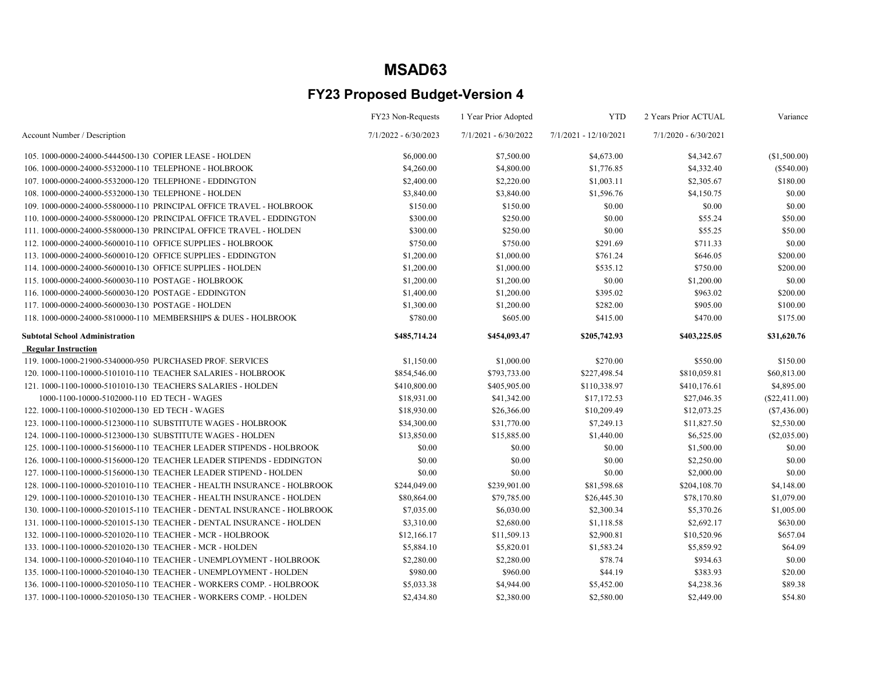|                                                                        | FY23 Non-Requests      | 1 Year Prior Adopted   | <b>YTD</b>              | 2 Years Prior ACTUAL   | Variance        |
|------------------------------------------------------------------------|------------------------|------------------------|-------------------------|------------------------|-----------------|
| Account Number / Description                                           | $7/1/2022 - 6/30/2023$ | $7/1/2021 - 6/30/2022$ | $7/1/2021 - 12/10/2021$ | $7/1/2020 - 6/30/2021$ |                 |
| 105.1000-0000-24000-5444500-130 COPIER LEASE - HOLDEN                  | \$6,000.00             | \$7,500.00             | \$4,673.00              | \$4,342.67             | (\$1,500.00)    |
| 106.1000-0000-24000-5532000-110 TELEPHONE - HOLBROOK                   | \$4,260.00             | \$4,800.00             | \$1,776.85              | \$4,332.40             | $(\$540.00)$    |
| 107.1000-0000-24000-5532000-120 TELEPHONE - EDDINGTON                  | \$2,400.00             | \$2,220.00             | \$1,003.11              | \$2,305.67             | \$180.00        |
| 108.1000-0000-24000-5532000-130 TELEPHONE - HOLDEN                     | \$3,840.00             | \$3,840.00             | \$1,596.76              | \$4,150.75             | \$0.00          |
| 109. 1000-0000-24000-5580000-110 PRINCIPAL OFFICE TRAVEL - HOLBROOK    | \$150.00               | \$150.00               | \$0.00                  | \$0.00                 | \$0.00          |
| 110, 1000-0000-24000-5580000-120 PRINCIPAL OFFICE TRAVEL - EDDINGTON   | \$300.00               | \$250.00               | \$0.00                  | \$55.24                | \$50.00         |
| 111.1000-0000-24000-5580000-130 PRINCIPAL OFFICE TRAVEL - HOLDEN       | \$300.00               | \$250.00               | \$0.00                  | \$55.25                | \$50.00         |
| 112. 1000-0000-24000-5600010-110 OFFICE SUPPLIES - HOLBROOK            | \$750.00               | \$750.00               | \$291.69                | \$711.33               | \$0.00          |
| 113. 1000-0000-24000-5600010-120 OFFICE SUPPLIES - EDDINGTON           | \$1,200.00             | \$1,000.00             | \$761.24                | \$646.05               | \$200.00        |
| 114.1000-0000-24000-5600010-130 OFFICE SUPPLIES - HOLDEN               | \$1,200.00             | \$1,000.00             | \$535.12                | \$750.00               | \$200.00        |
| 115.1000-0000-24000-5600030-110 POSTAGE - HOLBROOK                     | \$1,200.00             | \$1,200.00             | \$0.00                  | \$1,200.00             | \$0.00          |
| 116.1000-0000-24000-5600030-120 POSTAGE - EDDINGTON                    | \$1,400.00             | \$1,200.00             | \$395.02                | \$963.02               | \$200.00        |
| 117.1000-0000-24000-5600030-130 POSTAGE - HOLDEN                       | \$1,300.00             | \$1,200.00             | \$282.00                | \$905.00               | \$100.00        |
| 118. 1000-0000-24000-5810000-110 MEMBERSHIPS & DUES - HOLBROOK         | \$780.00               | \$605.00               | \$415.00                | \$470.00               | \$175.00        |
| <b>Subtotal School Administration</b>                                  | \$485,714.24           | \$454,093.47           | \$205,742.93            | \$403,225.05           | \$31,620.76     |
| <b>Regular Instruction</b>                                             |                        |                        |                         |                        |                 |
| 119.1000-1000-21900-5340000-950 PURCHASED PROF. SERVICES               | \$1,150.00             | \$1,000.00             | \$270.00                | \$550.00               | \$150.00        |
| 120. 1000-1100-10000-5101010-110 TEACHER SALARIES - HOLBROOK           | \$854,546.00           | \$793,733.00           | \$227,498.54            | \$810,059.81           | \$60,813.00     |
| 121, 1000-1100-10000-5101010-130 TEACHERS SALARIES - HOLDEN            | \$410,800.00           | \$405,905.00           | \$110,338.97            | \$410,176.61           | \$4,895.00      |
| 1000-1100-10000-5102000-110 ED TECH - WAGES                            | \$18,931.00            | \$41,342.00            | \$17,172.53             | \$27,046.35            | $(\$22,411.00)$ |
| 122. 1000-1100-10000-5102000-130 ED TECH - WAGES                       | \$18,930.00            | \$26,366.00            | \$10,209.49             | \$12,073.25            | $(\$7,436.00)$  |
| 123. 1000-1100-10000-5123000-110 SUBSTITUTE WAGES - HOLBROOK           | \$34,300.00            | \$31,770.00            | \$7,249.13              | \$11,827.50            | \$2,530.00      |
| 124. 1000-1100-10000-5123000-130 SUBSTITUTE WAGES - HOLDEN             | \$13,850.00            | \$15,885.00            | \$1,440.00              | \$6,525.00             | $(\$2,035.00)$  |
| 125, 1000-1100-10000-5156000-110 TEACHER LEADER STIPENDS - HOLBROOK    | \$0.00                 | \$0.00                 | \$0.00                  | \$1,500.00             | \$0.00          |
| 126.1000-1100-10000-5156000-120 TEACHER LEADER STIPENDS - EDDINGTON    | \$0.00                 | \$0.00                 | \$0.00                  | \$2,250.00             | \$0.00          |
| 127. 1000-1100-10000-5156000-130 TEACHER LEADER STIPEND - HOLDEN       | \$0.00                 | \$0.00                 | \$0.00                  | \$2,000.00             | \$0.00          |
| 128. 1000-1100-10000-5201010-110 TEACHER - HEALTH INSURANCE - HOLBROOK | \$244,049.00           | \$239,901.00           | \$81,598.68             | \$204,108.70           | \$4,148.00      |
| 129, 1000-1100-10000-5201010-130 TEACHER - HEALTH INSURANCE - HOLDEN   | \$80,864.00            | \$79,785.00            | \$26,445.30             | \$78,170.80            | \$1,079.00      |
| 130, 1000-1100-10000-5201015-110 TEACHER - DENTAL INSURANCE - HOLBROOK | \$7,035.00             | \$6,030.00             | \$2,300.34              | \$5,370.26             | \$1,005.00      |
| 131.1000-1100-10000-5201015-130 TEACHER - DENTAL INSURANCE - HOLDEN    | \$3,310.00             | \$2,680.00             | \$1,118.58              | \$2,692.17             | \$630.00        |
| 132. 1000-1100-10000-5201020-110 TEACHER - MCR - HOLBROOK              | \$12,166.17            | \$11,509.13            | \$2,900.81              | \$10,520.96            | \$657.04        |
| 133.1000-1100-10000-5201020-130 TEACHER - MCR - HOLDEN                 | \$5,884.10             | \$5,820.01             | \$1,583.24              | \$5,859.92             | \$64.09         |
| 134, 1000-1100-10000-5201040-110 TEACHER - UNEMPLOYMENT - HOLBROOK     | \$2,280.00             | \$2,280.00             | \$78.74                 | \$934.63               | \$0.00          |
| 135.1000-1100-10000-5201040-130 TEACHER - UNEMPLOYMENT - HOLDEN        | \$980.00               | \$960.00               | \$44.19                 | \$383.93               | \$20.00         |
| 136. 1000-1100-10000-5201050-110 TEACHER - WORKERS COMP. - HOLBROOK    | \$5,033.38             | \$4,944.00             | \$5,452.00              | \$4,238.36             | \$89.38         |
| 137. 1000-1100-10000-5201050-130 TEACHER - WORKERS COMP. - HOLDEN      | \$2,434.80             | \$2,380.00             | \$2,580.00              | \$2,449.00             | \$54.80         |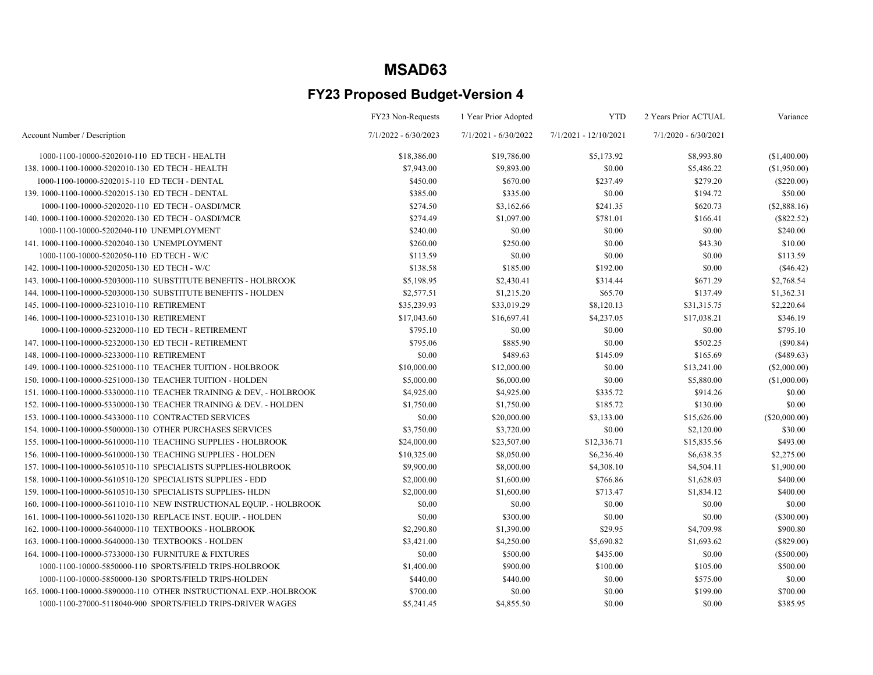|                                                                      | FY23 Non-Requests      | 1 Year Prior Adopted   | <b>YTD</b>            | 2 Years Prior ACTUAL   | Variance        |
|----------------------------------------------------------------------|------------------------|------------------------|-----------------------|------------------------|-----------------|
| Account Number / Description                                         | $7/1/2022 - 6/30/2023$ | $7/1/2021 - 6/30/2022$ | 7/1/2021 - 12/10/2021 | $7/1/2020 - 6/30/2021$ |                 |
| 1000-1100-10000-5202010-110 ED TECH - HEALTH                         | \$18,386.00            | \$19,786.00            | \$5,173.92            | \$8,993.80             | (\$1,400.00)    |
| 138.1000-1100-10000-5202010-130 ED TECH - HEALTH                     | \$7,943.00             | \$9,893.00             | \$0.00                | \$5,486.22             | (\$1,950.00)    |
| 1000-1100-10000-5202015-110 ED TECH - DENTAL                         | \$450.00               | \$670.00               | \$237.49              | \$279.20               | $(\$220.00)$    |
| 139. 1000-1100-10000-5202015-130 ED TECH - DENTAL                    | \$385.00               | \$335.00               | \$0.00                | \$194.72               | \$50.00         |
| 1000-1100-10000-5202020-110 ED TECH - OASDI/MCR                      | \$274.50               | \$3,162.66             | \$241.35              | \$620.73               | (\$2,888.16)    |
| 140. 1000-1100-10000-5202020-130 ED TECH - OASDI/MCR                 | \$274.49               | \$1,097.00             | \$781.01              | \$166.41               | $(\$822.52)$    |
| 1000-1100-10000-5202040-110 UNEMPLOYMENT                             | \$240.00               | \$0.00                 | \$0.00                | \$0.00                 | \$240.00        |
| 141.1000-1100-10000-5202040-130 UNEMPLOYMENT                         | \$260.00               | \$250.00               | \$0.00                | \$43.30                | \$10.00         |
| 1000-1100-10000-5202050-110 ED TECH - W/C                            | \$113.59               | \$0.00                 | \$0.00                | \$0.00                 | \$113.59        |
| 142. 1000-1100-10000-5202050-130 ED TECH - W/C                       | \$138.58               | \$185.00               | \$192.00              | \$0.00                 | (\$46.42)       |
| 143. 1000-1100-10000-5203000-110 SUBSTITUTE BENEFITS - HOLBROOK      | \$5,198.95             | \$2,430.41             | \$314.44              | \$671.29               | \$2,768.54      |
| 144.1000-1100-10000-5203000-130 SUBSTITUTE BENEFITS - HOLDEN         | \$2,577.51             | \$1,215.20             | \$65.70               | \$137.49               | \$1,362.31      |
| 145.1000-1100-10000-5231010-110 RETIREMENT                           | \$35,239.93            | \$33,019.29            | \$8,120.13            | \$31,315.75            | \$2,220.64      |
| 146.1000-1100-10000-5231010-130 RETIREMENT                           | \$17,043.60            | \$16,697.41            | \$4,237.05            | \$17,038.21            | \$346.19        |
| 1000-1100-10000-5232000-110 ED TECH - RETIREMENT                     | \$795.10               | \$0.00                 | \$0.00                | \$0.00                 | \$795.10        |
| 147. 1000-1100-10000-5232000-130 ED TECH - RETIREMENT                | \$795.06               | \$885.90               | \$0.00                | \$502.25               | $(\$90.84)$     |
| 148.1000-1100-10000-5233000-110 RETIREMENT                           | \$0.00                 | \$489.63               | \$145.09              | \$165.69               | (\$489.63)      |
| 149. 1000-1100-10000-5251000-110 TEACHER TUITION - HOLBROOK          | \$10,000.00            | \$12,000.00            | \$0.00                | \$13,241.00            | $(\$2,000.00)$  |
| 150. 1000-1100-10000-5251000-130 TEACHER TUITION - HOLDEN            | \$5,000.00             | \$6,000.00             | \$0.00                | \$5,880.00             | (\$1,000.00)    |
| 151.1000-1100-10000-5330000-110 TEACHER TRAINING & DEV, - HOLBROOK   | \$4,925.00             | \$4,925.00             | \$335.72              | \$914.26               | \$0.00          |
| 152. 1000-1100-10000-5330000-130 TEACHER TRAINING & DEV. - HOLDEN    | \$1,750.00             | \$1,750.00             | \$185.72              | \$130.00               | \$0.00          |
| 153.1000-1100-10000-5433000-110 CONTRACTED SERVICES                  | \$0.00                 | \$20,000.00            | \$3,133.00            | \$15,626.00            | $(\$20,000.00)$ |
| 154. 1000-1100-10000-5500000-130 OTHER PURCHASES SERVICES            | \$3,750.00             | \$3,720.00             | \$0.00                | \$2,120.00             | \$30.00         |
| 155.1000-1100-10000-5610000-110 TEACHING SUPPLIES - HOLBROOK         | \$24,000.00            | \$23,507.00            | \$12,336.71           | \$15,835.56            | \$493.00        |
| 156. 1000-1100-10000-5610000-130 TEACHING SUPPLIES - HOLDEN          | \$10,325.00            | \$8,050.00             | \$6,236.40            | \$6,638.35             | \$2,275.00      |
| 157. 1000-1100-10000-5610510-110 SPECIALISTS SUPPLIES-HOLBROOK       | \$9,900.00             | \$8,000.00             | \$4,308.10            | \$4,504.11             | \$1,900.00      |
| 158. 1000-1100-10000-5610510-120 SPECIALISTS SUPPLIES - EDD          | \$2,000.00             | \$1,600.00             | \$766.86              | \$1,628.03             | \$400.00        |
| 159. 1000-1100-10000-5610510-130 SPECIALISTS SUPPLIES- HLDN          | \$2,000.00             | \$1,600.00             | \$713.47              | \$1,834.12             | \$400.00        |
| 160. 1000-1100-10000-5611010-110 NEW INSTRUCTIONAL EQUIP. - HOLBROOK | \$0.00                 | \$0.00                 | \$0.00                | \$0.00                 | \$0.00          |
| 161. 1000-1100-10000-5611020-130 REPLACE INST. EQUIP. - HOLDEN       | \$0.00                 | \$300.00               | \$0.00                | \$0.00                 | $(\$300.00)$    |
| 162. 1000-1100-10000-5640000-110 TEXTBOOKS - HOLBROOK                | \$2,290.80             | \$1,390.00             | \$29.95               | \$4,709.98             | \$900.80        |
| 163.1000-1100-10000-5640000-130 TEXTBOOKS - HOLDEN                   | \$3,421.00             | \$4,250.00             | \$5,690.82            | \$1,693.62             | $(\$829.00)$    |
| 164. 1000-1100-10000-5733000-130 FURNITURE & FIXTURES                | \$0.00                 | \$500.00               | \$435.00              | \$0.00                 | (\$500.00)      |
| 1000-1100-10000-5850000-110 SPORTS/FIELD TRIPS-HOLBROOK              | \$1,400.00             | \$900.00               | \$100.00              | \$105.00               | \$500.00        |
| 1000-1100-10000-5850000-130 SPORTS/FIELD TRIPS-HOLDEN                | \$440.00               | \$440.00               | \$0.00                | \$575.00               | \$0.00          |
| 165.1000-1100-10000-5890000-110 OTHER INSTRUCTIONAL EXP.-HOLBROOK    | \$700.00               | \$0.00                 | \$0.00                | \$199.00               | \$700.00        |
| 1000-1100-27000-5118040-900 SPORTS/FIELD TRIPS-DRIVER WAGES          | \$5,241.45             | \$4,855.50             | \$0.00                | \$0.00                 | \$385.95        |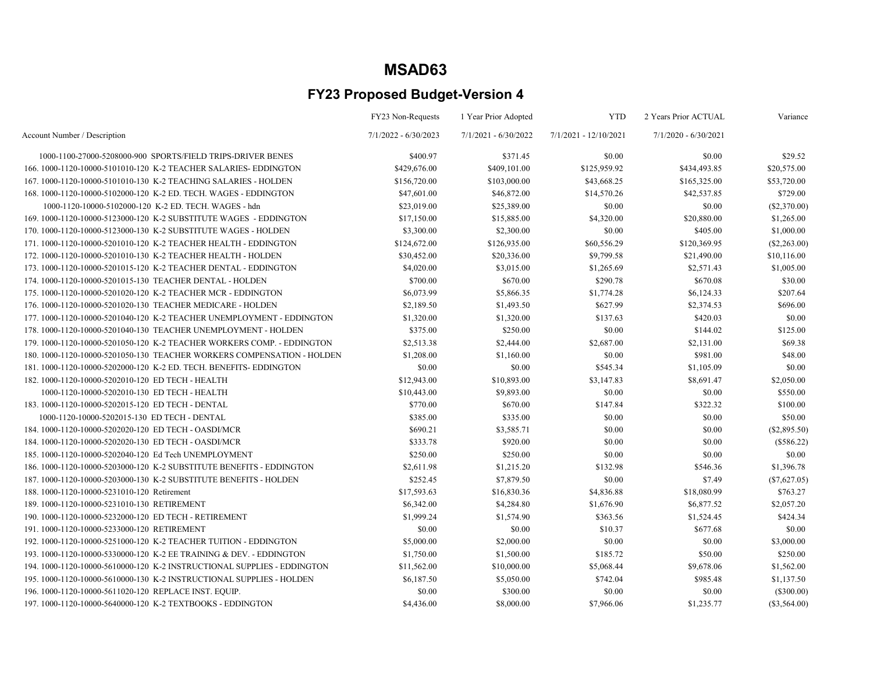|                                                                         | FY23 Non-Requests      | 1 Year Prior Adopted   | <b>YTD</b>            | 2 Years Prior ACTUAL   | Variance       |
|-------------------------------------------------------------------------|------------------------|------------------------|-----------------------|------------------------|----------------|
| Account Number / Description                                            | $7/1/2022 - 6/30/2023$ | $7/1/2021 - 6/30/2022$ | 7/1/2021 - 12/10/2021 | $7/1/2020 - 6/30/2021$ |                |
| 1000-1100-27000-5208000-900 SPORTS/FIELD TRIPS-DRIVER BENES             | \$400.97               | \$371.45               | \$0.00                | \$0.00                 | \$29.52        |
| 166, 1000-1120-10000-5101010-120 K-2 TEACHER SALARIES-EDDINGTON         | \$429,676.00           | \$409,101.00           | \$125,959.92          | \$434,493.85           | \$20,575.00    |
| 167. 1000-1120-10000-5101010-130 K-2 TEACHING SALARIES - HOLDEN         | \$156,720.00           | \$103,000.00           | \$43,668.25           | \$165,325.00           | \$53,720.00    |
| 168, 1000-1120-10000-5102000-120 K-2 ED. TECH. WAGES - EDDINGTON        | \$47,601.00            | \$46,872.00            | \$14,570.26           | \$42,537.85            | \$729.00       |
| 1000-1120-10000-5102000-120 K-2 ED. TECH. WAGES - hdn                   | \$23,019.00            | \$25,389.00            | \$0.00                | \$0.00                 | (\$2,370.00)   |
| 169.1000-1120-10000-5123000-120 K-2 SUBSTITUTE WAGES - EDDINGTON        | \$17,150.00            | \$15,885.00            | \$4,320.00            | \$20,880.00            | \$1,265.00     |
| 170. 1000-1120-10000-5123000-130 K-2 SUBSTITUTE WAGES - HOLDEN          | \$3,300.00             | \$2,300.00             | \$0.00                | \$405.00               | \$1,000.00     |
| 171. 1000-1120-10000-5201010-120 K-2 TEACHER HEALTH - EDDINGTON         | \$124,672.00           | \$126,935.00           | \$60,556.29           | \$120,369.95           | $(\$2,263.00)$ |
| 172. 1000-1120-10000-5201010-130 K-2 TEACHER HEALTH - HOLDEN            | \$30,452.00            | \$20,336.00            | \$9,799.58            | \$21,490.00            | \$10,116.00    |
| 173. 1000-1120-10000-5201015-120 K-2 TEACHER DENTAL - EDDINGTON         | \$4,020.00             | \$3,015.00             | \$1,265.69            | \$2,571.43             | \$1,005.00     |
| 174. 1000-1120-10000-5201015-130 TEACHER DENTAL - HOLDEN                | \$700.00               | \$670.00               | \$290.78              | \$670.08               | \$30.00        |
| 175. 1000-1120-10000-5201020-120 K-2 TEACHER MCR - EDDINGTON            | \$6,073.99             | \$5,866.35             | \$1,774.28            | \$6,124.33             | \$207.64       |
| 176, 1000-1120-10000-5201020-130 TEACHER MEDICARE - HOLDEN              | \$2,189.50             | \$1,493.50             | \$627.99              | \$2,374.53             | \$696.00       |
| 177. 1000-1120-10000-5201040-120 K-2 TEACHER UNEMPLOYMENT - EDDINGTON   | \$1,320.00             | \$1,320.00             | \$137.63              | \$420.03               | \$0.00         |
| 178. 1000-1120-10000-5201040-130 TEACHER UNEMPLOYMENT - HOLDEN          | \$375.00               | \$250.00               | \$0.00                | \$144.02               | \$125.00       |
| 179. 1000-1120-10000-5201050-120 K-2 TEACHER WORKERS COMP. - EDDINGTON  | \$2,513.38             | \$2,444.00             | \$2,687.00            | \$2,131.00             | \$69.38        |
| 180, 1000-1120-10000-5201050-130 TEACHER WORKERS COMPENSATION - HOLDEN  | \$1,208.00             | \$1,160.00             | \$0.00                | \$981.00               | \$48.00        |
| 181.1000-1120-10000-5202000-120 K-2 ED. TECH. BENEFITS-EDDINGTON        | \$0.00                 | \$0.00                 | \$545.34              | \$1,105.09             | \$0.00         |
| 182. 1000-1120-10000-5202010-120 ED TECH - HEALTH                       | \$12,943.00            | \$10,893.00            | \$3,147.83            | \$8,691.47             | \$2,050.00     |
| 1000-1120-10000-5202010-130 ED TECH - HEALTH                            | \$10,443.00            | \$9,893.00             | \$0.00                | \$0.00                 | \$550.00       |
| 183. 1000-1120-10000-5202015-120 ED TECH - DENTAL                       | \$770.00               | \$670.00               | \$147.84              | \$322.32               | \$100.00       |
| 1000-1120-10000-5202015-130 ED TECH - DENTAL                            | \$385.00               | \$335.00               | \$0.00                | \$0.00                 | \$50.00        |
| 184.1000-1120-10000-5202020-120 ED TECH - OASDI/MCR                     | \$690.21               | \$3,585.71             | \$0.00                | \$0.00                 | $(\$2,895.50)$ |
| 184. 1000-1120-10000-5202020-130 ED TECH - OASDI/MCR                    | \$333.78               | \$920.00               | \$0.00                | \$0.00                 | $(\$586.22)$   |
| 185.1000-1120-10000-5202040-120 Ed Tech UNEMPLOYMENT                    | \$250.00               | \$250.00               | \$0.00                | \$0.00                 | \$0.00         |
| 186, 1000-1120-10000-5203000-120 K-2 SUBSTITUTE BENEFITS - EDDINGTON    | \$2,611.98             | \$1,215.20             | \$132.98              | \$546.36               | \$1,396.78     |
| 187. 1000-1120-10000-5203000-130 K-2 SUBSTITUTE BENEFITS - HOLDEN       | \$252.45               | \$7,879.50             | \$0.00                | \$7.49                 | (\$7,627.05)   |
| 188.1000-1120-10000-5231010-120 Retirement                              | \$17,593.63            | \$16,830.36            | \$4,836.88            | \$18,080.99            | \$763.27       |
| 189.1000-1120-10000-5231010-130 RETIREMENT                              | \$6,342.00             | \$4,284.80             | \$1,676.90            | \$6,877.52             | \$2,057.20     |
| 190. 1000-1120-10000-5232000-120 ED TECH - RETIREMENT                   | \$1,999.24             | \$1,574.90             | \$363.56              | \$1,524.45             | \$424.34       |
| 191.1000-1120-10000-5233000-120 RETIREMENT                              | \$0.00                 | \$0.00                 | \$10.37               | \$677.68               | \$0.00         |
| 192. 1000-1120-10000-5251000-120 K-2 TEACHER TUITION - EDDINGTON        | \$5,000.00             | \$2,000.00             | \$0.00                | \$0.00                 | \$3,000.00     |
| 193. 1000-1120-10000-5330000-120 K-2 EE TRAINING & DEV. - EDDINGTON     | \$1,750.00             | \$1,500.00             | \$185.72              | \$50.00                | \$250.00       |
| 194, 1000-1120-10000-5610000-120 K-2 INSTRUCTIONAL SUPPLIES - EDDINGTON | \$11,562.00            | \$10,000.00            | \$5,068.44            | \$9,678.06             | \$1,562.00     |
| 195. 1000-1120-10000-5610000-130 K-2 INSTRUCTIONAL SUPPLIES - HOLDEN    | \$6,187.50             | \$5,050.00             | \$742.04              | \$985.48               | \$1,137.50     |
| 196. 1000-1120-10000-5611020-120 REPLACE INST. EQUIP.                   | \$0.00                 | \$300.00               | \$0.00                | \$0.00                 | (\$300.00)     |
| 197. 1000-1120-10000-5640000-120 K-2 TEXTBOOKS - EDDINGTON              | \$4,436.00             | \$8,000.00             | \$7,966.06            | \$1,235.77             | $(\$3,564,00)$ |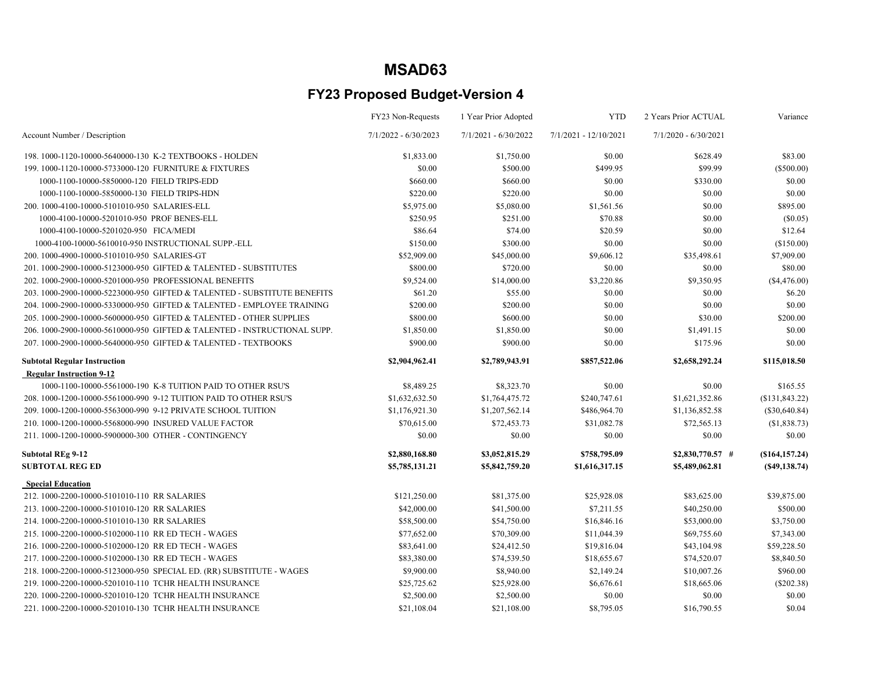|                                                                         | FY23 Non-Requests      | 1 Year Prior Adopted   | <b>YTD</b>              | 2 Years Prior ACTUAL   | Variance        |
|-------------------------------------------------------------------------|------------------------|------------------------|-------------------------|------------------------|-----------------|
| Account Number / Description                                            | $7/1/2022 - 6/30/2023$ | $7/1/2021 - 6/30/2022$ | $7/1/2021 - 12/10/2021$ | $7/1/2020 - 6/30/2021$ |                 |
| 198.1000-1120-10000-5640000-130 K-2 TEXTBOOKS - HOLDEN                  | \$1,833.00             | \$1,750.00             | \$0.00                  | \$628.49               | \$83.00         |
| 199.1000-1120-10000-5733000-120 FURNITURE & FIXTURES                    | \$0.00                 | \$500.00               | \$499.95                | \$99.99                | (\$500.00)      |
| 1000-1100-10000-5850000-120 FIELD TRIPS-EDD                             | \$660.00               | \$660.00               | \$0.00                  | \$330.00               | \$0.00          |
| 1000-1100-10000-5850000-130 FIELD TRIPS-HDN                             | \$220.00               | \$220.00               | \$0.00                  | \$0.00                 | \$0.00          |
| 200.1000-4100-10000-5101010-950 SALARIES-ELL                            | \$5,975.00             | \$5,080.00             | \$1,561.56              | \$0.00                 | \$895.00        |
| 1000-4100-10000-5201010-950 PROF BENES-ELL                              | \$250.95               | \$251.00               | \$70.88                 | \$0.00                 | $(\$0.05)$      |
| 1000-4100-10000-5201020-950 FICA/MEDI                                   | \$86.64                | \$74.00                | \$20.59                 | \$0.00                 | \$12.64         |
| 1000-4100-10000-5610010-950 INSTRUCTIONAL SUPP.-ELL                     | \$150.00               | \$300.00               | \$0.00                  | \$0.00                 | (\$150.00)      |
| 200.1000-4900-10000-5101010-950 SALARIES-GT                             | \$52,909.00            | \$45,000.00            | \$9,606.12              | \$35,498.61            | \$7,909.00      |
| 201.1000-2900-10000-5123000-950 GIFTED & TALENTED - SUBSTITUTES         | \$800.00               | \$720.00               | \$0.00                  | \$0.00                 | \$80.00         |
| 202. 1000-2900-10000-5201000-950 PROFESSIONAL BENEFITS                  | \$9,524.00             | \$14,000.00            | \$3,220.86              | \$9,350.95             | (\$4,476.00)    |
| 203.1000-2900-10000-5223000-950 GIFTED & TALENTED - SUBSTITUTE BENEFITS | \$61.20                | \$55.00                | \$0.00                  | \$0.00                 | \$6.20          |
| 204.1000-2900-10000-5330000-950 GIFTED & TALENTED - EMPLOYEE TRAINING   | \$200.00               | \$200.00               | \$0.00                  | \$0.00                 | \$0.00          |
| 205.1000-2900-10000-5600000-950 GIFTED & TALENTED - OTHER SUPPLIES      | \$800.00               | \$600.00               | \$0.00                  | \$30.00                | \$200.00        |
| 206.1000-2900-10000-5610000-950 GIFTED & TALENTED - INSTRUCTIONAL SUPP. | \$1,850.00             | \$1,850.00             | \$0.00                  | \$1,491.15             | \$0.00          |
| 207. 1000-2900-10000-5640000-950 GIFTED & TALENTED - TEXTBOOKS          | \$900.00               | \$900.00               | \$0.00                  | \$175.96               | \$0.00          |
| <b>Subtotal Regular Instruction</b>                                     | \$2,904,962.41         | \$2,789,943.91         | \$857,522.06            | \$2,658,292.24         | \$115,018.50    |
| <b>Regular Instruction 9-12</b>                                         |                        |                        |                         |                        |                 |
| 1000-1100-10000-5561000-190 K-8 TUITION PAID TO OTHER RSUS              | \$8,489.25             | \$8,323.70             | \$0.00                  | \$0.00                 | \$165.55        |
| 208. 1000-1200-10000-5561000-990 9-12 TUITION PAID TO OTHER RSU'S       | \$1,632,632.50         | \$1,764,475.72         | \$240,747.61            | \$1,621,352.86         | (\$131,843.22)  |
| 209. 1000-1200-10000-5563000-990 9-12 PRIVATE SCHOOL TUITION            | \$1,176,921.30         | \$1,207,562.14         | \$486,964.70            | \$1,136,852.58         | $(\$30,640.84)$ |
| 210. 1000-1200-10000-5568000-990 INSURED VALUE FACTOR                   | \$70,615.00            | \$72,453.73            | \$31,082.78             | \$72,565.13            | (\$1,838.73)    |
| 211.1000-1200-10000-5900000-300 OTHER - CONTINGENCY                     | \$0.00                 | \$0.00                 | \$0.00                  | \$0.00                 | \$0.00          |
| <b>Subtotal REg 9-12</b>                                                | \$2,880,168.80         | \$3,052,815.29         | \$758,795.09            | $$2,830,770.57$ #      | (\$164, 157.24) |
| <b>SUBTOTAL REG ED</b>                                                  | \$5,785,131.21         | \$5,842,759.20         | \$1,616,317.15          | \$5,489,062.81         | (S49, 138.74)   |
| <b>Special Education</b>                                                |                        |                        |                         |                        |                 |
| 212. 1000-2200-10000-5101010-110 RR SALARIES                            | \$121,250.00           | \$81,375.00            | \$25,928.08             | \$83,625.00            | \$39,875.00     |
| 213. 1000-2200-10000-5101010-120 RR SALARIES                            | \$42,000.00            | \$41,500.00            | \$7,211.55              | \$40,250.00            | \$500.00        |
| 214. 1000-2200-10000-5101010-130 RR SALARIES                            | \$58,500.00            | \$54,750.00            | \$16,846.16             | \$53,000.00            | \$3,750.00      |
| 215.1000-2200-10000-5102000-110 RR ED TECH - WAGES                      | \$77,652.00            | \$70,309.00            | \$11,044.39             | \$69,755.60            | \$7,343.00      |
| 216, 1000-2200-10000-5102000-120 RR ED TECH - WAGES                     | \$83,641.00            | \$24,412.50            | \$19,816.04             | \$43,104.98            | \$59,228.50     |
| 217. 1000-2200-10000-5102000-130 RR ED TECH - WAGES                     | \$83,380.00            | \$74,539.50            | \$18,655.67             | \$74,520.07            | \$8,840.50      |
| 218. 1000-2200-10000-5123000-950 SPECIAL ED. (RR) SUBSTITUTE - WAGES    | \$9,900.00             | \$8,940.00             | \$2,149.24              | \$10,007.26            | \$960.00        |
| 219. 1000-2200-10000-5201010-110 TCHR HEALTH INSURANCE                  | \$25,725.62            | \$25,928.00            | \$6,676.61              | \$18,665.06            | $(\$202.38)$    |
| 220, 1000-2200-10000-5201010-120 TCHR HEALTH INSURANCE                  | \$2,500.00             | \$2,500.00             | \$0.00                  | \$0.00                 | \$0.00          |
| 221. 1000-2200-10000-5201010-130 TCHR HEALTH INSURANCE                  | \$21,108.04            | \$21,108.00            | \$8,795.05              | \$16,790.55            | \$0.04          |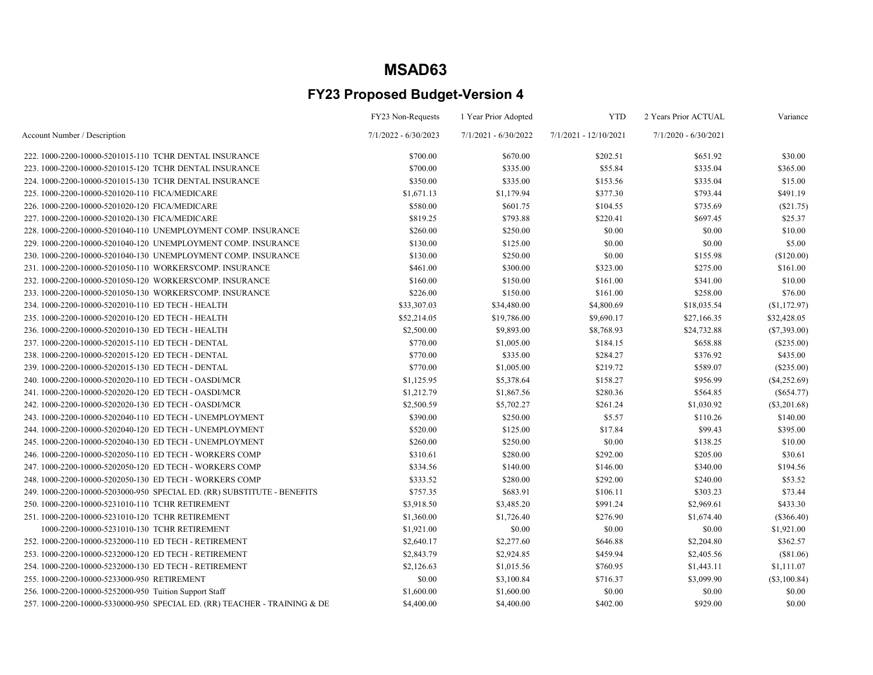|                                                                          | FY23 Non-Requests      | 1 Year Prior Adopted | <b>YTD</b>            | 2 Years Prior ACTUAL | Variance       |
|--------------------------------------------------------------------------|------------------------|----------------------|-----------------------|----------------------|----------------|
| Account Number / Description                                             | $7/1/2022 - 6/30/2023$ | 7/1/2021 - 6/30/2022 | 7/1/2021 - 12/10/2021 | 7/1/2020 - 6/30/2021 |                |
| 222. 1000-2200-10000-5201015-110 TCHR DENTAL INSURANCE                   | \$700.00               | \$670.00             | \$202.51              | \$651.92             | \$30.00        |
| 223, 1000-2200-10000-5201015-120 TCHR DENTAL INSURANCE                   | \$700.00               | \$335.00             | \$55.84               | \$335.04             | \$365.00       |
| 224. 1000-2200-10000-5201015-130 TCHR DENTAL INSURANCE                   | \$350.00               | \$335.00             | \$153.56              | \$335.04             | \$15.00        |
| 225.1000-2200-10000-5201020-110 FICA/MEDICARE                            | \$1,671.13             | \$1,179.94           | \$377.30              | \$793.44             | \$491.19       |
| 226.1000-2200-10000-5201020-120 FICA/MEDICARE                            | \$580.00               | \$601.75             | \$104.55              | \$735.69             | (\$21.75)      |
| 227.1000-2200-10000-5201020-130 FICA/MEDICARE                            | \$819.25               | \$793.88             | \$220.41              | \$697.45             | \$25.37        |
| 228. 1000-2200-10000-5201040-110 UNEMPLOYMENT COMP. INSURANCE            | \$260.00               | \$250.00             | \$0.00                | \$0.00               | \$10.00        |
| 229. 1000-2200-10000-5201040-120 UNEMPLOYMENT COMP. INSURANCE            | \$130.00               | \$125.00             | \$0.00                | \$0.00               | \$5.00         |
| 230. 1000-2200-10000-5201040-130 UNEMPLOYMENT COMP. INSURANCE            | \$130.00               | \$250.00             | \$0.00                | \$155.98             | (\$120.00)     |
| 231.1000-2200-10000-5201050-110 WORKERS'COMP. INSURANCE                  | \$461.00               | \$300.00             | \$323.00              | \$275.00             | \$161.00       |
| 232. 1000-2200-10000-5201050-120 WORKERS'COMP. INSURANCE                 | \$160.00               | \$150.00             | \$161.00              | \$341.00             | \$10.00        |
| 233.1000-2200-10000-5201050-130 WORKERS'COMP. INSURANCE                  | \$226.00               | \$150.00             | \$161.00              | \$258.00             | \$76.00        |
| 234. 1000-2200-10000-5202010-110 ED TECH - HEALTH                        | \$33,307.03            | \$34,480.00          | \$4,800.69            | \$18,035.54          | (S1, 172.97)   |
| 235.1000-2200-10000-5202010-120 ED TECH - HEALTH                         | \$52,214.05            | \$19,786.00          | \$9,690.17            | \$27,166.35          | \$32,428.05    |
| 236. 1000-2200-10000-5202010-130 ED TECH - HEALTH                        | \$2,500.00             | \$9,893.00           | \$8,768.93            | \$24,732.88          | $(\$7,393.00)$ |
| 237. 1000-2200-10000-5202015-110 ED TECH - DENTAL                        | \$770.00               | \$1,005.00           | \$184.15              | \$658.88             | $(\$235.00)$   |
| 238. 1000-2200-10000-5202015-120 ED TECH - DENTAL                        | \$770.00               | \$335.00             | \$284.27              | \$376.92             | \$435.00       |
| 239. 1000-2200-10000-5202015-130 ED TECH - DENTAL                        | \$770.00               | \$1,005.00           | \$219.72              | \$589.07             | (\$235.00)     |
| 240. 1000-2200-10000-5202020-110 ED TECH - OASDI/MCR                     | \$1,125.95             | \$5,378.64           | \$158.27              | \$956.99             | $(\$4,252.69)$ |
| 241. 1000-2200-10000-5202020-120 ED TECH - OASDI/MCR                     | \$1,212.79             | \$1,867.56           | \$280.36              | \$564.85             | (\$654.77)     |
| 242. 1000-2200-10000-5202020-130 ED TECH - OASDI/MCR                     | \$2,500.59             | \$5,702.27           | \$261.24              | \$1,030.92           | $(\$3,201.68)$ |
| 243. 1000-2200-10000-5202040-110 ED TECH - UNEMPLOYMENT                  | \$390.00               | \$250.00             | \$5.57                | \$110.26             | \$140.00       |
| 244. 1000-2200-10000-5202040-120 ED TECH - UNEMPLOYMENT                  | \$520.00               | \$125.00             | \$17.84               | \$99.43              | \$395.00       |
| 245. 1000-2200-10000-5202040-130 ED TECH - UNEMPLOYMENT                  | \$260.00               | \$250.00             | \$0.00                | \$138.25             | \$10.00        |
| 246. 1000-2200-10000-5202050-110 ED TECH - WORKERS COMP                  | \$310.61               | \$280.00             | \$292.00              | \$205.00             | \$30.61        |
| 247. 1000-2200-10000-5202050-120 ED TECH - WORKERS COMP                  | \$334.56               | \$140.00             | \$146.00              | \$340.00             | \$194.56       |
| 248. 1000-2200-10000-5202050-130 ED TECH - WORKERS COMP                  | \$333.52               | \$280.00             | \$292.00              | \$240.00             | \$53.52        |
| 249. 1000-2200-10000-5203000-950 SPECIAL ED. (RR) SUBSTITUTE - BENEFITS  | \$757.35               | \$683.91             | \$106.11              | \$303.23             | \$73.44        |
| 250.1000-2200-10000-5231010-110 TCHR RETIREMENT                          | \$3,918.50             | \$3,485.20           | \$991.24              | \$2,969.61           | \$433.30       |
| 251.1000-2200-10000-5231010-120 TCHR RETIREMENT                          | \$1,360.00             | \$1,726.40           | \$276.90              | \$1,674.40           | $(\$366.40)$   |
| 1000-2200-10000-5231010-130 TCHR RETIREMENT                              | \$1,921.00             | \$0.00               | \$0.00                | \$0.00               | \$1,921.00     |
| 252. 1000-2200-10000-5232000-110 ED TECH - RETIREMENT                    | \$2,640.17             | \$2,277.60           | \$646.88              | \$2,204.80           | \$362.57       |
| 253. 1000-2200-10000-5232000-120 ED TECH - RETIREMENT                    | \$2,843.79             | \$2,924.85           | \$459.94              | \$2,405.56           | (\$81.06)      |
| 254. 1000-2200-10000-5232000-130 ED TECH - RETIREMENT                    | \$2,126.63             | \$1,015.56           | \$760.95              | \$1,443.11           | \$1,111.07     |
| 255.1000-2200-10000-5233000-950 RETIREMENT                               | \$0.00                 | \$3,100.84           | \$716.37              | \$3,099.90           | (\$3,100.84)   |
| 256. 1000-2200-10000-5252000-950 Tuition Support Staff                   | \$1,600.00             | \$1,600.00           | \$0.00                | \$0.00               | \$0.00         |
| 257.1000-2200-10000-5330000-950 SPECIAL ED. (RR) TEACHER - TRAINING & DE | \$4,400.00             | \$4,400.00           | \$402.00              | \$929.00             | \$0.00         |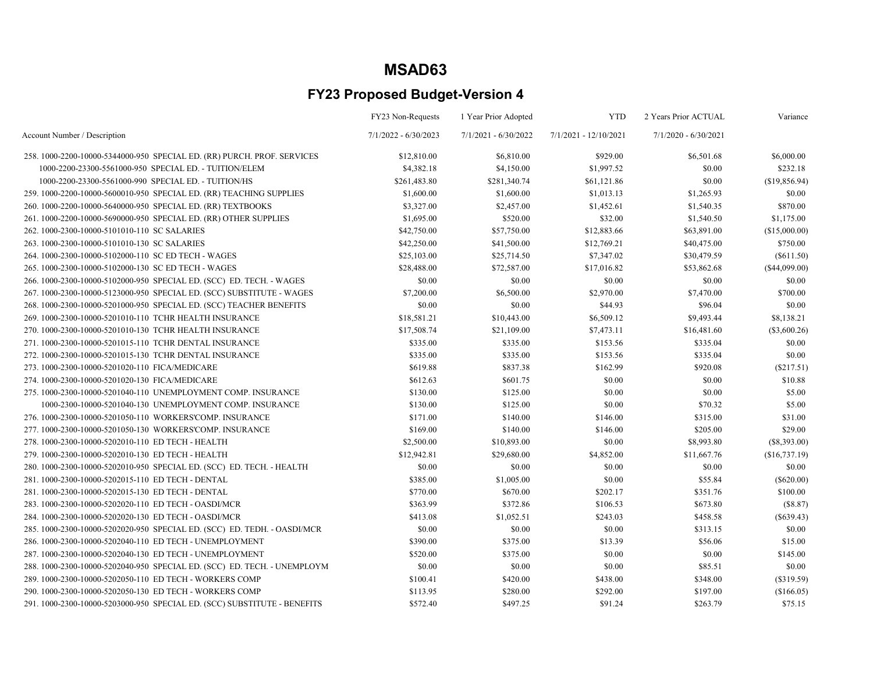|                                                                          | FY23 Non-Requests      | 1 Year Prior Adopted   | <b>YTD</b>            | 2 Years Prior ACTUAL   | Variance       |
|--------------------------------------------------------------------------|------------------------|------------------------|-----------------------|------------------------|----------------|
| Account Number / Description                                             | $7/1/2022 - 6/30/2023$ | $7/1/2021 - 6/30/2022$ | 7/1/2021 - 12/10/2021 | $7/1/2020 - 6/30/2021$ |                |
| 258. 1000-2200-10000-5344000-950 SPECIAL ED. (RR) PURCH. PROF. SERVICES  | \$12,810.00            | \$6,810.00             | \$929.00              | \$6,501.68             | \$6,000.00     |
| 1000-2200-23300-5561000-950 SPECIAL ED. - TUITION/ELEM                   | \$4,382.18             | \$4,150.00             | \$1,997.52            | \$0.00                 | \$232.18       |
| 1000-2200-23300-5561000-990 SPECIAL ED. - TUITION/HS                     | \$261,483.80           | \$281,340.74           | \$61,121.86           | \$0.00                 | (\$19,856.94)  |
| 259. 1000-2200-10000-5600010-950 SPECIAL ED. (RR) TEACHING SUPPLIES      | \$1,600.00             | \$1,600.00             | \$1,013.13            | \$1,265.93             | \$0.00         |
| 260. 1000-2200-10000-5640000-950 SPECIAL ED. (RR) TEXTBOOKS              | \$3,327.00             | \$2,457.00             | \$1,452.61            | \$1,540.35             | \$870.00       |
| 261. 1000-2200-10000-5690000-950 SPECIAL ED. (RR) OTHER SUPPLIES         | \$1,695.00             | \$520.00               | \$32.00               | \$1,540.50             | \$1,175.00     |
| 262. 1000-2300-10000-5101010-110 SC SALARIES                             | \$42,750.00            | \$57,750.00            | \$12,883.66           | \$63,891.00            | (\$15,000.00)  |
| 263. 1000-2300-10000-5101010-130 SC SALARIES                             | \$42,250.00            | \$41,500.00            | \$12,769.21           | \$40,475.00            | \$750.00       |
| 264. 1000-2300-10000-5102000-110 SC ED TECH - WAGES                      | \$25,103.00            | \$25,714.50            | \$7,347.02            | \$30,479.59            | $(\$611.50)$   |
| 265. 1000-2300-10000-5102000-130 SC ED TECH - WAGES                      | \$28,488.00            | \$72,587.00            | \$17,016.82           | \$53,862.68            | (\$44,099.00)  |
| 266. 1000-2300-10000-5102000-950 SPECIAL ED. (SCC) ED. TECH. - WAGES     | \$0.00                 | \$0.00                 | \$0.00                | \$0.00                 | \$0.00         |
| 267. 1000-2300-10000-5123000-950 SPECIAL ED. (SCC) SUBSTITUTE - WAGES    | \$7,200.00             | \$6,500.00             | \$2,970.00            | \$7,470.00             | \$700.00       |
| 268. 1000-2300-10000-5201000-950 SPECIAL ED. (SCC) TEACHER BENEFITS      | \$0.00                 | \$0.00                 | \$44.93               | \$96.04                | \$0.00         |
| 269. 1000-2300-10000-5201010-110 TCHR HEALTH INSURANCE                   | \$18,581.21            | \$10,443.00            | \$6,509.12            | \$9,493.44             | \$8,138.21     |
| 270. 1000-2300-10000-5201010-130 TCHR HEALTH INSURANCE                   | \$17,508.74            | \$21,109.00            | \$7,473.11            | \$16,481.60            | $(\$3,600.26)$ |
| 271, 1000-2300-10000-5201015-110 TCHR DENTAL INSURANCE                   | \$335.00               | \$335.00               | \$153.56              | \$335.04               | \$0.00         |
| 272, 1000-2300-10000-5201015-130 TCHR DENTAL INSURANCE                   | \$335.00               | \$335.00               | \$153.56              | \$335.04               | \$0.00         |
| 273. 1000-2300-10000-5201020-110 FICA/MEDICARE                           | \$619.88               | \$837.38               | \$162.99              | \$920.08               | $(\$217.51)$   |
| 274.1000-2300-10000-5201020-130 FICA/MEDICARE                            | \$612.63               | \$601.75               | \$0.00                | \$0.00                 | \$10.88        |
| 275. 1000-2300-10000-5201040-110 UNEMPLOYMENT COMP. INSURANCE            | \$130.00               | \$125.00               | \$0.00                | \$0.00                 | \$5.00         |
| 1000-2300-10000-5201040-130 UNEMPLOYMENT COMP. INSURANCE                 | \$130.00               | \$125.00               | \$0.00                | \$70.32                | \$5.00         |
| 276, 1000-2300-10000-5201050-110 WORKERS'COMP. INSURANCE                 | \$171.00               | \$140.00               | \$146.00              | \$315.00               | \$31.00        |
| 277.1000-2300-10000-5201050-130 WORKERS'COMP. INSURANCE                  | \$169.00               | \$140.00               | \$146.00              | \$205.00               | \$29.00        |
| 278. 1000-2300-10000-5202010-110 ED TECH - HEALTH                        | \$2,500.00             | \$10,893.00            | \$0.00                | \$8,993.80             | $(\$8,393.00)$ |
| 279. 1000-2300-10000-5202010-130 ED TECH - HEALTH                        | \$12,942.81            | \$29,680.00            | \$4,852.00            | \$11,667.76            | (\$16,737.19)  |
| 280. 1000-2300-10000-5202010-950 SPECIAL ED. (SCC) ED. TECH. - HEALTH    | \$0.00                 | \$0.00                 | \$0.00                | \$0.00                 | \$0.00         |
| 281.1000-2300-10000-5202015-110 ED TECH - DENTAL                         | \$385.00               | \$1,005.00             | \$0.00                | \$55.84                | $(\$620.00)$   |
| 281.1000-2300-10000-5202015-130 ED TECH - DENTAL                         | \$770.00               | \$670.00               | \$202.17              | \$351.76               | \$100.00       |
| 283. 1000-2300-10000-5202020-110 ED TECH - OASDI/MCR                     | \$363.99               | \$372.86               | \$106.53              | \$673.80               | (\$8.87)       |
| 284. 1000-2300-10000-5202020-130 ED TECH - OASDI/MCR                     | \$413.08               | \$1,052.51             | \$243.03              | \$458.58               | $(\$639.43)$   |
| 285. 1000-2300-10000-5202020-950 SPECIAL ED. (SCC) ED. TEDH. - OASDI/MCR | \$0.00                 | \$0.00                 | \$0.00                | \$313.15               | \$0.00         |
| 286. 1000-2300-10000-5202040-110 ED TECH - UNEMPLOYMENT                  | \$390.00               | \$375.00               | \$13.39               | \$56.06                | \$15.00        |
| 287.1000-2300-10000-5202040-130 ED TECH - UNEMPLOYMENT                   | \$520.00               | \$375.00               | \$0.00                | \$0.00                 | \$145.00       |
| 288. 1000-2300-10000-5202040-950 SPECIAL ED. (SCC) ED. TECH. - UNEMPLOYM | \$0.00                 | \$0.00                 | \$0.00                | \$85.51                | \$0.00         |
| 289. 1000-2300-10000-5202050-110 ED TECH - WORKERS COMP                  | \$100.41               | \$420.00               | \$438.00              | \$348.00               | (\$319.59)     |
| 290. 1000-2300-10000-5202050-130 ED TECH - WORKERS COMP                  | \$113.95               | \$280.00               | \$292.00              | \$197.00               | (\$166.05)     |
| 291.1000-2300-10000-5203000-950 SPECIAL ED. (SCC) SUBSTITUTE - BENEFITS  | \$572.40               | \$497.25               | \$91.24               | \$263.79               | \$75.15        |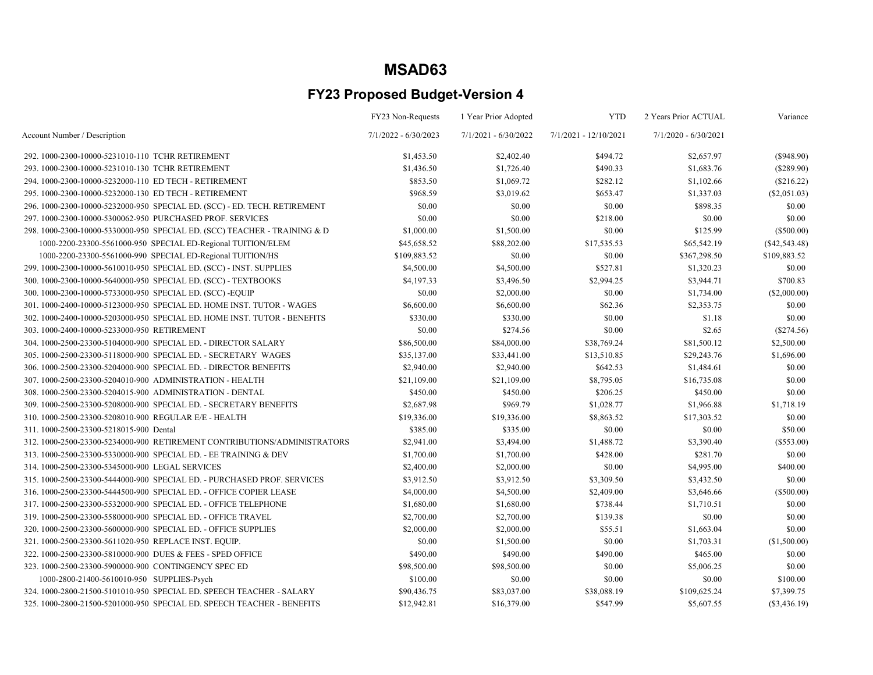|                                                                           | FY23 Non-Requests      | 1 Year Prior Adopted   | <b>YTD</b>              | 2 Years Prior ACTUAL   | Variance        |
|---------------------------------------------------------------------------|------------------------|------------------------|-------------------------|------------------------|-----------------|
| Account Number / Description                                              | $7/1/2022 - 6/30/2023$ | $7/1/2021 - 6/30/2022$ | $7/1/2021 - 12/10/2021$ | $7/1/2020 - 6/30/2021$ |                 |
| 292. 1000-2300-10000-5231010-110 TCHR RETIREMENT                          | \$1,453.50             | \$2,402.40             | \$494.72                | \$2,657.97             | $(\$948.90)$    |
| 293. 1000-2300-10000-5231010-130 TCHR RETIREMENT                          | \$1,436.50             | \$1,726.40             | \$490.33                | \$1,683.76             | $(\$289.90)$    |
| 294. 1000-2300-10000-5232000-110 ED TECH - RETIREMENT                     | \$853.50               | \$1,069.72             | \$282.12                | \$1,102.66             | (\$216.22)      |
| 295. 1000-2300-10000-5232000-130 ED TECH - RETIREMENT                     | \$968.59               | \$3,019.62             | \$653.47                | \$1,337.03             | $(\$2,051.03)$  |
| 296. 1000-2300-10000-5232000-950 SPECIAL ED. (SCC) - ED. TECH. RETIREMENT | \$0.00                 | \$0.00                 | \$0.00                  | \$898.35               | \$0.00          |
| 297. 1000-2300-10000-5300062-950 PURCHASED PROF. SERVICES                 | \$0.00                 | \$0.00                 | \$218.00                | \$0.00                 | \$0.00          |
| 298. 1000-2300-10000-5330000-950 SPECIAL ED. (SCC) TEACHER - TRAINING & D | \$1,000.00             | \$1,500.00             | \$0.00                  | \$125.99               | $(\$500.00)$    |
| 1000-2200-23300-5561000-950 SPECIAL ED-Regional TUITION/ELEM              | \$45,658.52            | \$88,202.00            | \$17,535.53             | \$65,542.19            | $(\$42,543.48)$ |
| 1000-2200-23300-5561000-990 SPECIAL ED-Regional TUITION/HS                | \$109,883.52           | \$0.00                 | \$0.00                  | \$367,298.50           | \$109,883.52    |
| 299. 1000-2300-10000-5610010-950 SPECIAL ED. (SCC) - INST. SUPPLIES       | \$4,500.00             | \$4,500.00             | \$527.81                | \$1,320.23             | \$0.00          |
| 300. 1000-2300-10000-5640000-950 SPECIAL ED. (SCC) - TEXTBOOKS            | \$4,197.33             | \$3,496.50             | \$2,994.25              | \$3,944.71             | \$700.83        |
| 300. 1000-2300-10000-5733000-950 SPECIAL ED. (SCC)-EQUIP                  | \$0.00                 | \$2,000.00             | \$0.00                  | \$1,734.00             | $(\$2,000.00)$  |
| 301.1000-2400-10000-5123000-950 SPECIAL ED. HOME INST. TUTOR - WAGES      | \$6,600.00             | \$6,600.00             | \$62.36                 | \$2,353.75             | \$0.00          |
| 302. 1000-2400-10000-5203000-950 SPECIAL ED. HOME INST. TUTOR - BENEFITS  | \$330.00               | \$330.00               | \$0.00                  | \$1.18                 | \$0.00          |
| 303.1000-2400-10000-5233000-950 RETIREMENT                                | \$0.00                 | \$274.56               | \$0.00                  | \$2.65                 | $(\$274.56)$    |
| 304. 1000-2500-23300-5104000-900 SPECIAL ED. - DIRECTOR SALARY            | \$86,500.00            | \$84,000.00            | \$38,769.24             | \$81,500.12            | \$2,500.00      |
| 305.1000-2500-23300-5118000-900 SPECIAL ED. - SECRETARY WAGES             | \$35,137.00            | \$33,441.00            | \$13,510.85             | \$29,243.76            | \$1,696.00      |
| 306. 1000-2500-23300-5204000-900 SPECIAL ED. - DIRECTOR BENEFITS          | \$2,940.00             | \$2,940.00             | \$642.53                | \$1,484.61             | \$0.00          |
| 307.1000-2500-23300-5204010-900 ADMINISTRATION - HEALTH                   | \$21,109.00            | \$21,109.00            | \$8,795.05              | \$16,735.08            | \$0.00          |
| 308.1000-2500-23300-5204015-900 ADMINISTRATION - DENTAL                   | \$450.00               | \$450.00               | \$206.25                | \$450.00               | \$0.00          |
| 309. 1000-2500-23300-5208000-900 SPECIAL ED. - SECRETARY BENEFITS         | \$2,687.98             | \$969.79               | \$1,028.77              | \$1,966.88             | \$1,718.19      |
| 310. 1000-2500-23300-5208010-900 REGULAR E/E - HEALTH                     | \$19,336.00            | \$19,336.00            | \$8,863.52              | \$17,303.52            | \$0.00          |
| 311.1000-2500-23300-5218015-900 Dental                                    | \$385.00               | \$335.00               | \$0.00                  | \$0.00                 | \$50.00         |
| 312.1000-2500-23300-5234000-900 RETIREMENT CONTRIBUTIONS/ADMINISTRATORS   | \$2,941.00             | \$3,494.00             | \$1,488.72              | \$3,390.40             | (\$553.00)      |
| 313.1000-2500-23300-5330000-900 SPECIAL ED. - EE TRAINING & DEV           | \$1,700.00             | \$1,700.00             | \$428.00                | \$281.70               | \$0.00          |
| 314.1000-2500-23300-5345000-900 LEGAL SERVICES                            | \$2,400.00             | \$2,000.00             | \$0.00                  | \$4,995.00             | \$400.00        |
| 315.1000-2500-23300-5444000-900 SPECIAL ED. - PURCHASED PROF. SERVICES    | \$3,912.50             | \$3,912.50             | \$3,309.50              | \$3,432.50             | \$0.00          |
| 316. 1000-2500-23300-5444500-900 SPECIAL ED. - OFFICE COPIER LEASE        | \$4,000.00             | \$4,500.00             | \$2,409.00              | \$3,646.66             | $(\$500.00)$    |
| 317. 1000-2500-23300-5532000-900 SPECIAL ED. - OFFICE TELEPHONE           | \$1,680.00             | \$1,680.00             | \$738.44                | \$1,710.51             | \$0.00          |
| 319. 1000-2500-23300-5580000-900 SPECIAL ED. - OFFICE TRAVEL              | \$2,700.00             | \$2,700.00             | \$139.38                | \$0.00                 | \$0.00          |
| 320. 1000-2500-23300-5600000-900 SPECIAL ED. - OFFICE SUPPLIES            | \$2,000.00             | \$2,000.00             | \$55.51                 | \$1,663.04             | \$0.00          |
| 321. 1000-2500-23300-5611020-950 REPLACE INST. EQUIP.                     | \$0.00                 | \$1,500.00             | \$0.00                  | \$1,703.31             | (\$1,500.00)    |
| 322. 1000-2500-23300-5810000-900 DUES & FEES - SPED OFFICE                | \$490.00               | \$490.00               | \$490.00                | \$465.00               | \$0.00          |
| 323. 1000-2500-23300-5900000-900 CONTINGENCY SPEC ED                      | \$98,500.00            | \$98,500.00            | \$0.00                  | \$5,006.25             | \$0.00          |
| 1000-2800-21400-5610010-950 SUPPLIES-Psych                                | \$100.00               | \$0.00                 | \$0.00                  | \$0.00                 | \$100.00        |
| 324. 1000-2800-21500-5101010-950 SPECIAL ED. SPEECH TEACHER - SALARY      | \$90,436.75            | \$83,037.00            | \$38,088.19             | \$109,625.24           | \$7,399.75      |
| 325.1000-2800-21500-5201000-950 SPECIAL ED. SPEECH TEACHER - BENEFITS     | \$12,942.81            | \$16,379.00            | \$547.99                | \$5,607.55             | $(\$3,436.19)$  |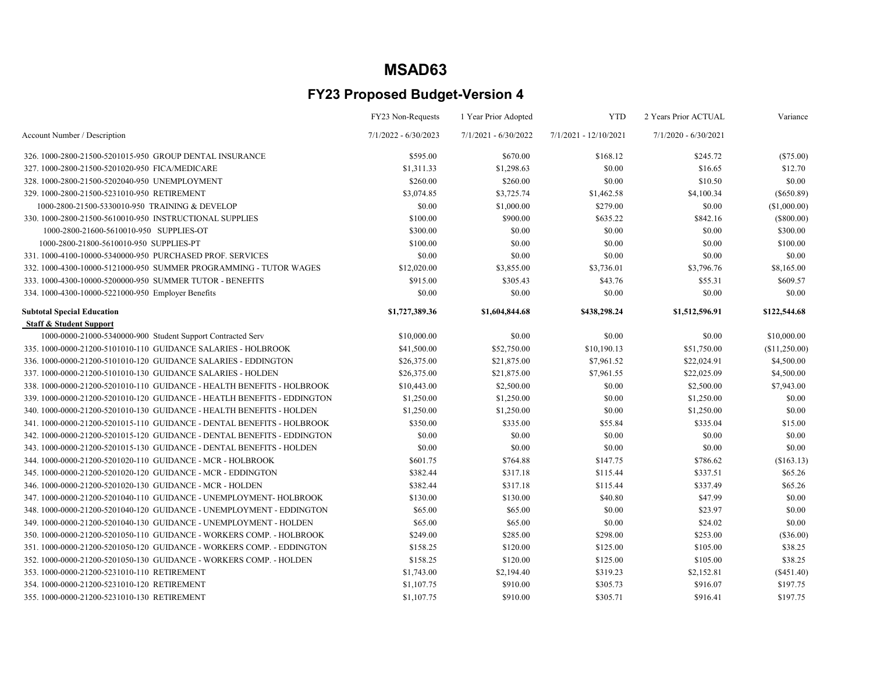|                                                                         | FY23 Non-Requests      | 1 Year Prior Adopted   | <b>YTD</b>              | 2 Years Prior ACTUAL   | Variance      |
|-------------------------------------------------------------------------|------------------------|------------------------|-------------------------|------------------------|---------------|
| Account Number / Description                                            | $7/1/2022 - 6/30/2023$ | $7/1/2021 - 6/30/2022$ | $7/1/2021 - 12/10/2021$ | $7/1/2020 - 6/30/2021$ |               |
| 326, 1000-2800-21500-5201015-950 GROUP DENTAL INSURANCE                 | \$595.00               | \$670.00               | \$168.12                | \$245.72               | (\$75.00)     |
| 327.1000-2800-21500-5201020-950 FICA/MEDICARE                           | \$1,311.33             | \$1,298.63             | \$0.00                  | \$16.65                | \$12.70       |
| 328.1000-2800-21500-5202040-950 UNEMPLOYMENT                            | \$260.00               | \$260.00               | \$0.00                  | \$10.50                | \$0.00        |
| 329.1000-2800-21500-5231010-950 RETIREMENT                              | \$3,074.85             | \$3,725.74             | \$1,462.58              | \$4,100.34             | $(\$650.89)$  |
| 1000-2800-21500-5330010-950 TRAINING & DEVELOP                          | \$0.00                 | \$1,000.00             | \$279.00                | \$0.00                 | (\$1,000.00)  |
| 330. 1000-2800-21500-5610010-950 INSTRUCTIONAL SUPPLIES                 | \$100.00               | \$900.00               | \$635.22                | \$842.16               | (\$800.00)    |
| 1000-2800-21600-5610010-950 SUPPLIES-OT                                 | \$300.00               | \$0.00                 | \$0.00                  | \$0.00                 | \$300.00      |
| 1000-2800-21800-5610010-950 SUPPLIES-PT                                 | \$100.00               | \$0.00                 | \$0.00                  | \$0.00                 | \$100.00      |
| 331.1000-4100-10000-5340000-950 PURCHASED PROF. SERVICES                | \$0.00                 | \$0.00                 | \$0.00                  | \$0.00                 | \$0.00        |
| 332.1000-4300-10000-5121000-950 SUMMER PROGRAMMING - TUTOR WAGES        | \$12,020.00            | \$3,855.00             | \$3,736.01              | \$3,796.76             | \$8,165.00    |
| 333. 1000-4300-10000-5200000-950 SUMMER TUTOR - BENEFITS                | \$915.00               | \$305.43               | \$43.76                 | \$55.31                | \$609.57      |
| 334. 1000-4300-10000-5221000-950 Employer Benefits                      | \$0.00                 | \$0.00                 | \$0.00                  | \$0.00                 | \$0.00        |
| <b>Subtotal Special Education</b>                                       | \$1,727,389.36         | \$1,604,844.68         | \$438,298.24            | \$1,512,596.91         | \$122,544.68  |
| <b>Staff &amp; Student Support</b>                                      |                        |                        |                         |                        |               |
| 1000-0000-21000-5340000-900 Student Support Contracted Serv             | \$10,000.00            | \$0.00                 | \$0.00                  | \$0.00                 | \$10,000.00   |
| 335. 1000-0000-21200-5101010-110 GUIDANCE SALARIES - HOLBROOK           | \$41,500.00            | \$52,750.00            | \$10,190.13             | \$51,750.00            | (\$11,250.00) |
| 336. 1000-0000-21200-5101010-120 GUIDANCE SALARIES - EDDINGTON          | \$26,375.00            | \$21,875.00            | \$7,961.52              | \$22,024.91            | \$4,500.00    |
| 337. 1000-0000-21200-5101010-130 GUIDANCE SALARIES - HOLDEN             | \$26,375.00            | \$21,875.00            | \$7,961.55              | \$22,025.09            | \$4,500.00    |
| 338. 1000-0000-21200-5201010-110 GUIDANCE - HEALTH BENEFITS - HOLBROOK  | \$10,443.00            | \$2,500.00             | \$0.00                  | \$2,500.00             | \$7,943.00    |
| 339.1000-0000-21200-5201010-120 GUIDANCE - HEATLH BENEFITS - EDDINGTON  | \$1,250.00             | \$1,250.00             | \$0.00                  | \$1,250.00             | \$0.00        |
| 340. 1000-0000-21200-5201010-130 GUIDANCE - HEALTH BENEFITS - HOLDEN    | \$1,250.00             | \$1,250.00             | \$0.00                  | \$1,250.00             | \$0.00        |
| 341. 1000-0000-21200-5201015-110 GUIDANCE - DENTAL BENEFITS - HOLBROOK  | \$350.00               | \$335.00               | \$55.84                 | \$335.04               | \$15.00       |
| 342. 1000-0000-21200-5201015-120 GUIDANCE - DENTAL BENEFITS - EDDINGTON | \$0.00                 | \$0.00                 | \$0.00                  | \$0.00                 | \$0.00        |
| 343. 1000-0000-21200-5201015-130 GUIDANCE - DENTAL BENEFITS - HOLDEN    | \$0.00                 | \$0.00                 | \$0.00                  | \$0.00                 | \$0.00        |
| 344. 1000-0000-21200-5201020-110 GUIDANCE - MCR - HOLBROOK              | \$601.75               | \$764.88               | \$147.75                | \$786.62               | (\$163.13)    |
| 345. 1000-0000-21200-5201020-120 GUIDANCE - MCR - EDDINGTON             | \$382.44               | \$317.18               | \$115.44                | \$337.51               | \$65.26       |
| 346. 1000-0000-21200-5201020-130 GUIDANCE - MCR - HOLDEN                | \$382.44               | \$317.18               | \$115.44                | \$337.49               | \$65.26       |
| 347. 1000-0000-21200-5201040-110 GUIDANCE - UNEMPLOYMENT- HOLBROOK      | \$130.00               | \$130.00               | \$40.80                 | \$47.99                | \$0.00        |
| 348.1000-0000-21200-5201040-120 GUIDANCE - UNEMPLOYMENT - EDDINGTON     | \$65.00                | \$65.00                | \$0.00                  | \$23.97                | \$0.00        |
| 349.1000-0000-21200-5201040-130 GUIDANCE - UNEMPLOYMENT - HOLDEN        | \$65.00                | \$65.00                | \$0.00                  | \$24.02                | \$0.00        |
| 350, 1000-0000-21200-5201050-110 GUIDANCE - WORKERS COMP. - HOLBROOK    | \$249.00               | \$285.00               | \$298.00                | \$253.00               | $(\$36.00)$   |
| 351, 1000-0000-21200-5201050-120 GUIDANCE - WORKERS COMP. - EDDINGTON   | \$158.25               | \$120.00               | \$125.00                | \$105.00               | \$38.25       |
| 352.1000-0000-21200-5201050-130 GUIDANCE - WORKERS COMP. - HOLDEN       | \$158.25               | \$120.00               | \$125.00                | \$105.00               | \$38.25       |
| 353.1000-0000-21200-5231010-110 RETIREMENT                              | \$1,743.00             | \$2,194.40             | \$319.23                | \$2,152.81             | (\$451.40)    |
| 354.1000-0000-21200-5231010-120 RETIREMENT                              | \$1,107.75             | \$910.00               | \$305.73                | \$916.07               | \$197.75      |
| 355.1000-0000-21200-5231010-130 RETIREMENT                              | \$1,107.75             | \$910.00               | \$305.71                | \$916.41               | \$197.75      |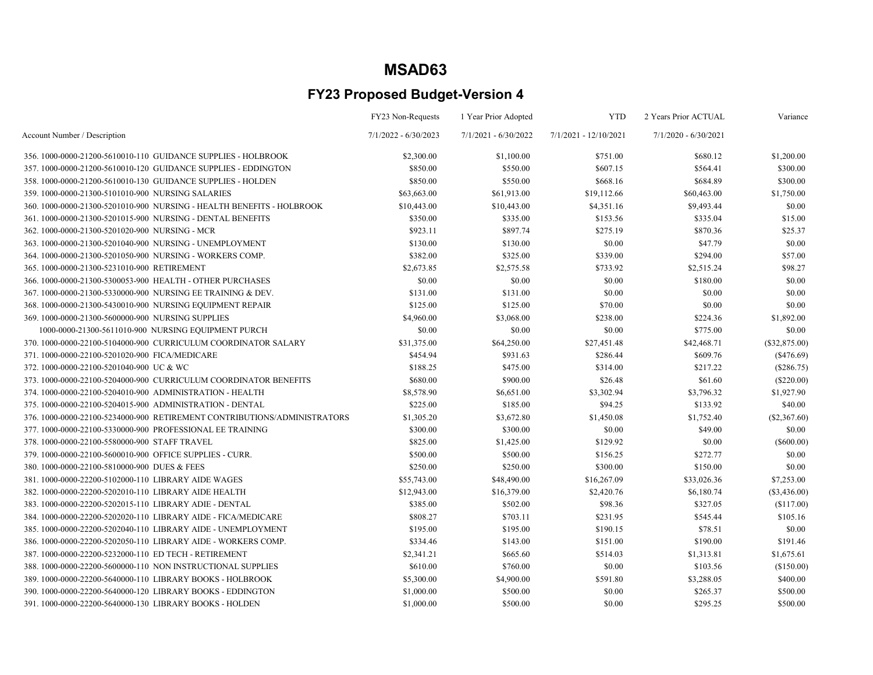|                                                                         | FY23 Non-Requests      | 1 Year Prior Adopted   | <b>YTD</b>            | 2 Years Prior ACTUAL   | Variance        |
|-------------------------------------------------------------------------|------------------------|------------------------|-----------------------|------------------------|-----------------|
| Account Number / Description                                            | $7/1/2022 - 6/30/2023$ | $7/1/2021 - 6/30/2022$ | 7/1/2021 - 12/10/2021 | $7/1/2020 - 6/30/2021$ |                 |
| 356, 1000-0000-21200-5610010-110 GUIDANCE SUPPLIES - HOLBROOK           | \$2,300.00             | \$1,100.00             | \$751.00              | \$680.12               | \$1,200.00      |
| 357, 1000-0000-21200-5610010-120 GUIDANCE SUPPLIES - EDDINGTON          | \$850.00               | \$550.00               | \$607.15              | \$564.41               | \$300.00        |
| 358. 1000-0000-21200-5610010-130 GUIDANCE SUPPLIES - HOLDEN             | \$850.00               | \$550.00               | \$668.16              | \$684.89               | \$300.00        |
| 359. 1000-0000-21300-5101010-900 NURSING SALARIES                       | \$63,663.00            | \$61,913.00            | \$19,112.66           | \$60,463.00            | \$1,750.00      |
| 360. 1000-0000-21300-5201010-900 NURSING - HEALTH BENEFITS - HOLBROOK   | \$10,443.00            | \$10,443.00            | \$4,351.16            | \$9,493.44             | \$0.00          |
| 361.1000-0000-21300-5201015-900 NURSING - DENTAL BENEFITS               | \$350.00               | \$335.00               | \$153.56              | \$335.04               | \$15.00         |
| 362. 1000-0000-21300-5201020-900 NURSING - MCR                          | \$923.11               | \$897.74               | \$275.19              | \$870.36               | \$25.37         |
| 363.1000-0000-21300-5201040-900 NURSING - UNEMPLOYMENT                  | \$130.00               | \$130.00               | \$0.00                | \$47.79                | \$0.00          |
| 364. 1000-0000-21300-5201050-900 NURSING - WORKERS COMP.                | \$382.00               | \$325.00               | \$339.00              | \$294.00               | \$57.00         |
| 365.1000-0000-21300-5231010-900 RETIREMENT                              | \$2,673.85             | \$2,575.58             | \$733.92              | \$2,515.24             | \$98.27         |
| 366. 1000-0000-21300-5300053-900 HEALTH - OTHER PURCHASES               | \$0.00                 | \$0.00                 | \$0.00                | \$180.00               | \$0.00          |
| 367.1000-0000-21300-5330000-900 NURSING EE TRAINING & DEV.              | \$131.00               | \$131.00               | \$0.00                | \$0.00                 | \$0.00          |
| 368. 1000-0000-21300-5430010-900 NURSING EQUIPMENT REPAIR               | \$125.00               | \$125.00               | \$70.00               | \$0.00                 | \$0.00          |
| 369.1000-0000-21300-5600000-900 NURSING SUPPLIES                        | \$4,960.00             | \$3,068.00             | \$238.00              | \$224.36               | \$1,892.00      |
| 1000-0000-21300-5611010-900 NURSING EQUIPMENT PURCH                     | \$0.00                 | \$0.00                 | \$0.00                | \$775.00               | \$0.00          |
| 370. 1000-0000-22100-5104000-900 CURRICULUM COORDINATOR SALARY          | \$31,375.00            | \$64,250.00            | \$27,451.48           | \$42,468.71            | $(\$32,875.00)$ |
| 371.1000-0000-22100-5201020-900 FICA/MEDICARE                           | \$454.94               | \$931.63               | \$286.44              | \$609.76               | (S476.69)       |
| 372.1000-0000-22100-5201040-900 UC & WC                                 | \$188.25               | \$475.00               | \$314.00              | \$217.22               | $(\$286.75)$    |
| 373. 1000-0000-22100-5204000-900 CURRICULUM COORDINATOR BENEFITS        | \$680.00               | \$900.00               | \$26.48               | \$61.60                | $(\$220.00)$    |
| 374.1000-0000-22100-5204010-900 ADMINISTRATION - HEALTH                 | \$8,578.90             | \$6,651.00             | \$3,302.94            | \$3,796.32             | \$1,927.90      |
| 375.1000-0000-22100-5204015-900 ADMINISTRATION - DENTAL                 | \$225.00               | \$185.00               | \$94.25               | \$133.92               | \$40.00         |
| 376.1000-0000-22100-5234000-900 RETIREMENT CONTRIBUTIONS/ADMINISTRATORS | \$1,305.20             | \$3,672.80             | \$1,450.08            | \$1,752.40             | $(\$2,367.60)$  |
| 377. 1000-0000-22100-5330000-900 PROFESSIONAL EE TRAINING               | \$300.00               | \$300.00               | \$0.00                | \$49.00                | \$0.00          |
| 378.1000-0000-22100-5580000-900 STAFF TRAVEL                            | \$825.00               | \$1,425.00             | \$129.92              | \$0.00                 | (\$600.00)      |
| 379.1000-0000-22100-5600010-900 OFFICE SUPPLIES - CURR.                 | \$500.00               | \$500.00               | \$156.25              | \$272.77               | \$0.00          |
| 380.1000-0000-22100-5810000-900 DUES & FEES                             | \$250.00               | \$250.00               | \$300.00              | \$150.00               | \$0.00          |
| 381.1000-0000-22200-5102000-110 LIBRARY AIDE WAGES                      | \$55,743.00            | \$48,490.00            | \$16,267.09           | \$33,026.36            | \$7,253.00      |
| 382. 1000-0000-22200-5202010-110 LIBRARY AIDE HEALTH                    | \$12,943.00            | \$16,379.00            | \$2,420.76            | \$6,180.74             | $(\$3,436.00)$  |
| 383.1000-0000-22200-5202015-110 LIBRARY ADIE - DENTAL                   | \$385.00               | \$502.00               | \$98.36               | \$327.05               | (\$117.00)      |
| 384. 1000-0000-22200-5202020-110 LIBRARY AIDE - FICA/MEDICARE           | \$808.27               | \$703.11               | \$231.95              | \$545.44               | \$105.16        |
| 385.1000-0000-22200-5202040-110 LIBRARY AIDE - UNEMPLOYMENT             | \$195.00               | \$195.00               | \$190.15              | \$78.51                | \$0.00          |
| 386. 1000-0000-22200-5202050-110 LIBRARY AIDE - WORKERS COMP.           | \$334.46               | \$143.00               | \$151.00              | \$190.00               | \$191.46        |
| 387.1000-0000-22200-5232000-110 ED TECH - RETIREMENT                    | \$2,341.21             | \$665.60               | \$514.03              | \$1,313.81             | \$1,675.61      |
| 388. 1000-0000-22200-5600000-110 NON INSTRUCTIONAL SUPPLIES             | \$610.00               | \$760.00               | \$0.00                | \$103.56               | (\$150.00)      |
| 389. 1000-0000-22200-5640000-110 LIBRARY BOOKS - HOLBROOK               | \$5,300.00             | \$4,900.00             | \$591.80              | \$3,288.05             | \$400.00        |
| 390. 1000-0000-22200-5640000-120 LIBRARY BOOKS - EDDINGTON              | \$1,000.00             | \$500.00               | \$0.00                | \$265.37               | \$500.00        |
| 391.1000-0000-22200-5640000-130 LIBRARY BOOKS - HOLDEN                  | \$1,000.00             | \$500.00               | \$0.00                | \$295.25               | \$500.00        |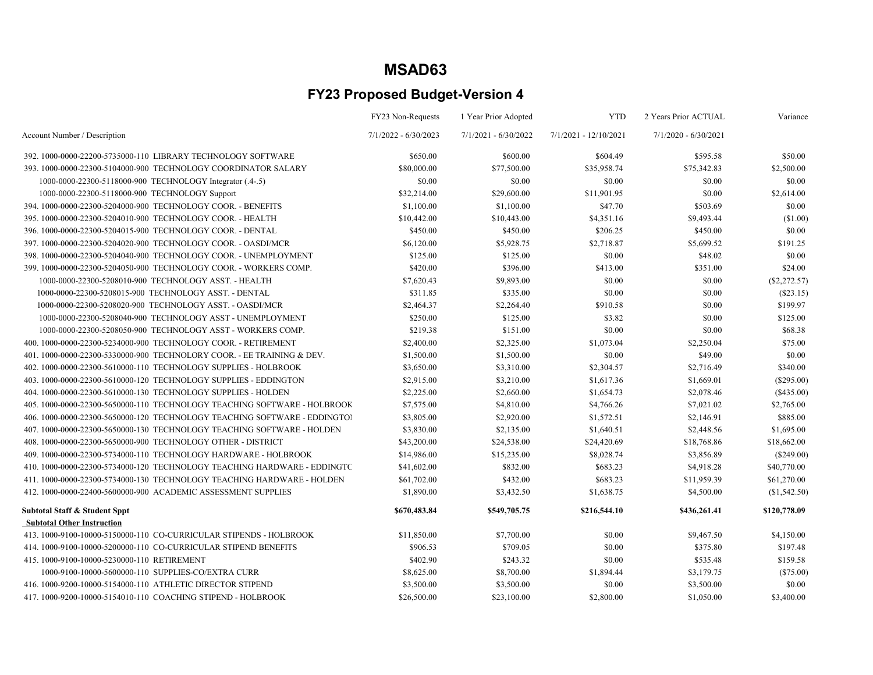|                                                                          | FY23 Non-Requests      | 1 Year Prior Adopted   | <b>YTD</b>              | 2 Years Prior ACTUAL   | Variance       |
|--------------------------------------------------------------------------|------------------------|------------------------|-------------------------|------------------------|----------------|
| Account Number / Description                                             | $7/1/2022 - 6/30/2023$ | $7/1/2021 - 6/30/2022$ | $7/1/2021 - 12/10/2021$ | $7/1/2020 - 6/30/2021$ |                |
| 392. 1000-0000-22200-5735000-110 LIBRARY TECHNOLOGY SOFTWARE             | \$650.00               | \$600.00               | \$604.49                | \$595.58               | \$50.00        |
| 393.1000-0000-22300-5104000-900 TECHNOLOGY COORDINATOR SALARY            | \$80,000.00            | \$77,500.00            | \$35,958.74             | \$75,342.83            | \$2,500.00     |
| 1000-0000-22300-5118000-900 TECHNOLOGY Integrator (.4-.5)                | \$0.00                 | \$0.00                 | \$0.00                  | \$0.00                 | \$0.00         |
| 1000-0000-22300-5118000-900 TECHNOLOGY Support                           | \$32,214.00            | \$29,600.00            | \$11,901.95             | \$0.00                 | \$2,614.00     |
| 394. 1000-0000-22300-5204000-900 TECHNOLOGY COOR. - BENEFITS             | \$1,100.00             | \$1,100.00             | \$47.70                 | \$503.69               | \$0.00         |
| 395. 1000-0000-22300-5204010-900 TECHNOLOGY COOR. - HEALTH               | \$10,442.00            | \$10,443.00            | \$4,351.16              | \$9,493.44             | (\$1.00)       |
| 396. 1000-0000-22300-5204015-900 TECHNOLOGY COOR. - DENTAL               | \$450.00               | \$450.00               | \$206.25                | \$450.00               | \$0.00         |
| 397. 1000-0000-22300-5204020-900 TECHNOLOGY COOR. - OASDI/MCR            | \$6,120.00             | \$5,928.75             | \$2,718.87              | \$5,699.52             | \$191.25       |
| 398. 1000-0000-22300-5204040-900 TECHNOLOGY COOR. - UNEMPLOYMENT         | \$125.00               | \$125.00               | \$0.00                  | \$48.02                | \$0.00         |
| 399. 1000-0000-22300-5204050-900 TECHNOLOGY COOR. - WORKERS COMP.        | \$420.00               | \$396.00               | \$413.00                | \$351.00               | \$24.00        |
| 1000-0000-22300-5208010-900 TECHNOLOGY ASST. - HEALTH                    | \$7,620.43             | \$9,893.00             | \$0.00                  | \$0.00                 | $(\$2,272.57)$ |
| 1000-0000-22300-5208015-900 TECHNOLOGY ASST. - DENTAL                    | \$311.85               | \$335.00               | \$0.00                  | \$0.00                 | $(\$23.15)$    |
| 1000-0000-22300-5208020-900 TECHNOLOGY ASST. - OASDI/MCR                 | \$2,464.37             | \$2,264.40             | \$910.58                | \$0.00                 | \$199.97       |
| 1000-0000-22300-5208040-900 TECHNOLOGY ASST - UNEMPLOYMENT               | \$250.00               | \$125.00               | \$3.82                  | \$0.00                 | \$125.00       |
| 1000-0000-22300-5208050-900 TECHNOLOGY ASST - WORKERS COMP.              | \$219.38               | \$151.00               | \$0.00                  | \$0.00                 | \$68.38        |
| 400.1000-0000-22300-5234000-900 TECHNOLOGY COOR. - RETIREMENT            | \$2,400.00             | \$2,325.00             | \$1,073.04              | \$2,250.04             | \$75.00        |
| 401.1000-0000-22300-5330000-900 TECHNOLORY COOR. - EE TRAINING & DEV.    | \$1,500.00             | \$1,500.00             | \$0.00                  | \$49.00                | \$0.00         |
| 402. 1000-0000-22300-5610000-110 TECHNOLOGY SUPPLIES - HOLBROOK          | \$3,650.00             | \$3,310.00             | \$2,304.57              | \$2,716.49             | \$340.00       |
| 403.1000-0000-22300-5610000-120 TECHNOLOGY SUPPLIES - EDDINGTON          | \$2,915.00             | \$3,210.00             | \$1,617.36              | \$1,669.01             | $(\$295.00)$   |
| 404. 1000-0000-22300-5610000-130 TECHNOLOGY SUPPLIES - HOLDEN            | \$2,225.00             | \$2,660.00             | \$1,654.73              | \$2,078.46             | $(\$435.00)$   |
| 405, 1000-0000-22300-5650000-110 TECHNOLOGY TEACHING SOFTWARE - HOLBROOK | \$7,575.00             | \$4,810.00             | \$4,766.26              | \$7,021.02             | \$2,765.00     |
| 406.1000-0000-22300-5650000-120 TECHNOLOGY TEACHING SOFTWARE - EDDINGTO! | \$3,805.00             | \$2,920.00             | \$1,572.51              | \$2,146.91             | \$885.00       |
| 407.1000-0000-22300-5650000-130 TECHNOLOGY TEACHING SOFTWARE - HOLDEN    | \$3,830.00             | \$2,135.00             | \$1,640.51              | \$2,448.56             | \$1,695.00     |
| 408. 1000-0000-22300-5650000-900 TECHNOLOGY OTHER - DISTRICT             | \$43,200.00            | \$24,538.00            | \$24,420.69             | \$18,768.86            | \$18,662.00    |
| 409.1000-0000-22300-5734000-110 TECHNOLOGY HARDWARE - HOLBROOK           | \$14,986.00            | \$15,235.00            | \$8,028.74              | \$3,856.89             | (\$249.00)     |
| 410.1000-0000-22300-5734000-120 TECHNOLOGY TEACHING HARDWARE - EDDINGTC  | \$41,602.00            | \$832.00               | \$683.23                | \$4,918.28             | \$40,770.00    |
| 411.1000-0000-22300-5734000-130 TECHNOLOGY TEACHING HARDWARE - HOLDEN    | \$61,702.00            | \$432.00               | \$683.23                | \$11,959.39            | \$61,270.00    |
| 412. 1000-0000-22400-5600000-900 ACADEMIC ASSESSMENT SUPPLIES            | \$1,890.00             | \$3,432.50             | \$1,638.75              | \$4,500.00             | (\$1,542.50)   |
| <b>Subtotal Staff &amp; Student Sppt</b>                                 | \$670,483.84           | \$549,705.75           | \$216,544.10            | \$436,261.41           | \$120,778.09   |
| <b>Subtotal Other Instruction</b>                                        |                        |                        |                         |                        |                |
| 413. 1000-9100-10000-5150000-110 CO-CURRICULAR STIPENDS - HOLBROOK       | \$11,850.00            | \$7,700.00             | \$0.00                  | \$9,467.50             | \$4,150.00     |
| 414. 1000-9100-10000-5200000-110 CO-CURRICULAR STIPEND BENEFITS          | \$906.53               | \$709.05               | \$0.00                  | \$375.80               | \$197.48       |
| 415.1000-9100-10000-5230000-110 RETIREMENT                               | \$402.90               | \$243.32               | \$0.00                  | \$535.48               | \$159.58       |
| 1000-9100-10000-5600000-110 SUPPLIES-CO/EXTRA CURR                       | \$8,625.00             | \$8,700.00             | \$1,894.44              | \$3,179.75             | $(\$75.00)$    |
| 416.1000-9200-10000-5154000-110 ATHLETIC DIRECTOR STIPEND                | \$3,500.00             | \$3,500.00             | \$0.00                  | \$3,500.00             | \$0.00         |
| 417. 1000-9200-10000-5154010-110 COACHING STIPEND - HOLBROOK             | \$26,500.00            | \$23,100.00            | \$2,800.00              | \$1,050.00             | \$3,400.00     |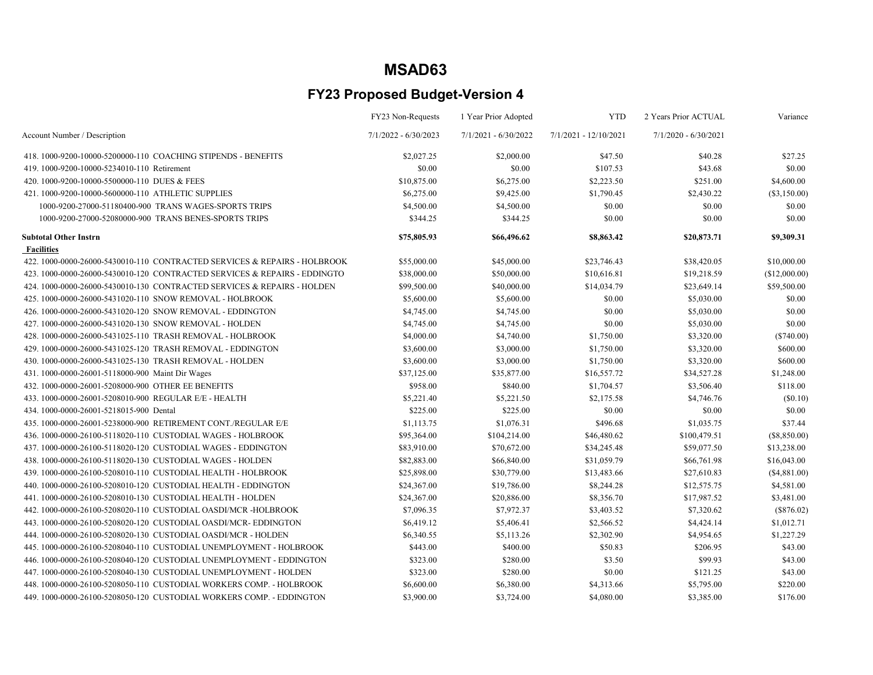|                                                                           | FY23 Non-Requests      | 1 Year Prior Adopted   | <b>YTD</b>              | 2 Years Prior ACTUAL   | Variance       |
|---------------------------------------------------------------------------|------------------------|------------------------|-------------------------|------------------------|----------------|
| Account Number / Description                                              | $7/1/2022 - 6/30/2023$ | $7/1/2021 - 6/30/2022$ | $7/1/2021 - 12/10/2021$ | $7/1/2020 - 6/30/2021$ |                |
| 418, 1000-9200-10000-5200000-110 COACHING STIPENDS - BENEFITS             | \$2,027.25             | \$2,000.00             | \$47.50                 | \$40.28                | \$27.25        |
| 419. 1000-9200-10000-5234010-110 Retirement                               | \$0.00                 | \$0.00                 | \$107.53                | \$43.68                | \$0.00         |
| 420. 1000-9200-10000-5500000-110 DUES & FEES                              | \$10,875.00            | \$6,275.00             | \$2,223.50              | \$251.00               | \$4,600.00     |
| 421, 1000-9200-10000-5600000-110 ATHLETIC SUPPLIES                        | \$6,275.00             | \$9,425.00             | \$1,790.45              | \$2,430.22             | $(\$3,150.00)$ |
| 1000-9200-27000-51180400-900 TRANS WAGES-SPORTS TRIPS                     | \$4,500.00             | \$4,500.00             | \$0.00                  | \$0.00                 | \$0.00         |
| 1000-9200-27000-52080000-900 TRANS BENES-SPORTS TRIPS                     | \$344.25               | \$344.25               | \$0.00                  | \$0.00                 | \$0.00         |
| <b>Subtotal Other Instrn</b>                                              | \$75,805.93            | \$66,496.62            | \$8,863.42              | \$20,873.71            | \$9,309.31     |
| <b>Facilities</b>                                                         |                        |                        |                         |                        |                |
| 422, 1000-0000-26000-5430010-110 CONTRACTED SERVICES & REPAIRS - HOLBROOK | \$55,000.00            | \$45,000.00            | \$23,746.43             | \$38,420.05            | \$10,000.00    |
| 423. 1000-0000-26000-5430010-120 CONTRACTED SERVICES & REPAIRS - EDDINGTO | \$38,000.00            | \$50,000.00            | \$10,616.81             | \$19,218.59            | (\$12,000.00)  |
| 424, 1000-0000-26000-5430010-130 CONTRACTED SERVICES & REPAIRS - HOLDEN   | \$99,500.00            | \$40,000.00            | \$14,034.79             | \$23,649.14            | \$59,500.00    |
| 425. 1000-0000-26000-5431020-110 SNOW REMOVAL - HOLBROOK                  | \$5,600.00             | \$5,600.00             | \$0.00                  | \$5,030.00             | \$0.00         |
| 426. 1000-0000-26000-5431020-120 SNOW REMOVAL - EDDINGTON                 | \$4,745.00             | \$4,745.00             | \$0.00                  | \$5,030.00             | \$0.00         |
| 427, 1000-0000-26000-5431020-130 SNOW REMOVAL - HOLDEN                    | \$4,745.00             | \$4,745.00             | \$0.00                  | \$5,030.00             | \$0.00         |
| 428. 1000-0000-26000-5431025-110 TRASH REMOVAL - HOLBROOK                 | \$4,000.00             | \$4,740.00             | \$1,750.00              | \$3,320.00             | (\$740.00)     |
| 429. 1000-0000-26000-5431025-120 TRASH REMOVAL - EDDINGTON                | \$3,600.00             | \$3,000.00             | \$1,750.00              | \$3,320.00             | \$600.00       |
| 430. 1000-0000-26000-5431025-130 TRASH REMOVAL - HOLDEN                   | \$3,600.00             | \$3,000.00             | \$1,750.00              | \$3,320.00             | \$600.00       |
| 431. 1000-0000-26001-5118000-900 Maint Dir Wages                          | \$37,125.00            | \$35,877.00            | \$16,557.72             | \$34,527.28            | \$1,248.00     |
| 432. 1000-0000-26001-5208000-900 OTHER EE BENEFITS                        | \$958.00               | \$840.00               | \$1,704.57              | \$3,506.40             | \$118.00       |
| 433. 1000-0000-26001-5208010-900 REGULAR E/E - HEALTH                     | \$5,221.40             | \$5,221.50             | \$2,175.58              | \$4,746.76             | (S0.10)        |
| 434. 1000-0000-26001-5218015-900 Dental                                   | \$225.00               | \$225.00               | \$0.00                  | \$0.00                 | \$0.00         |
| 435. 1000-0000-26001-5238000-900 RETIREMENT CONT./REGULAR E/E             | \$1,113.75             | \$1,076.31             | \$496.68                | \$1,035.75             | \$37.44        |
| 436. 1000-0000-26100-5118020-110 CUSTODIAL WAGES - HOLBROOK               | \$95,364.00            | \$104,214.00           | \$46,480.62             | \$100,479.51           | (\$8,850.00)   |
| 437. 1000-0000-26100-5118020-120 CUSTODIAL WAGES - EDDINGTON              | \$83,910.00            | \$70,672.00            | \$34,245.48             | \$59,077.50            | \$13,238.00    |
| 438, 1000-0000-26100-5118020-130 CUSTODIAL WAGES - HOLDEN                 | \$82,883.00            | \$66,840.00            | \$31,059.79             | \$66,761.98            | \$16,043.00    |
| 439.1000-0000-26100-5208010-110 CUSTODIAL HEALTH - HOLBROOK               | \$25,898.00            | \$30,779.00            | \$13,483.66             | \$27,610.83            | (\$4,881.00)   |
| 440, 1000-0000-26100-5208010-120 CUSTODIAL HEALTH - EDDINGTON             | \$24,367.00            | \$19,786.00            | \$8,244.28              | \$12,575.75            | \$4,581.00     |
| 441, 1000-0000-26100-5208010-130 CUSTODIAL HEALTH - HOLDEN                | \$24,367.00            | \$20,886.00            | \$8,356.70              | \$17,987.52            | \$3,481.00     |
| 442. 1000-0000-26100-5208020-110 CUSTODIAL OASDI/MCR-HOLBROOK             | \$7,096.35             | \$7,972.37             | \$3,403.52              | \$7,320.62             | $(\$876.02)$   |
| 443.1000-0000-26100-5208020-120 CUSTODIAL OASDI/MCR-EDDINGTON             | \$6,419.12             | \$5,406.41             | \$2,566.52              | \$4,424.14             | \$1,012.71     |
| 444, 1000-0000-26100-5208020-130 CUSTODIAL OASDI/MCR - HOLDEN             | \$6,340.55             | \$5,113.26             | \$2,302.90              | \$4,954.65             | \$1,227.29     |
| 445.1000-0000-26100-5208040-110 CUSTODIAL UNEMPLOYMENT - HOLBROOK         | \$443.00               | \$400.00               | \$50.83                 | \$206.95               | \$43.00        |
| 446.1000-0000-26100-5208040-120 CUSTODIAL UNEMPLOYMENT - EDDINGTON        | \$323.00               | \$280.00               | \$3.50                  | \$99.93                | \$43.00        |
| 447. 1000-0000-26100-5208040-130 CUSTODIAL UNEMPLOYMENT - HOLDEN          | \$323.00               | \$280.00               | \$0.00                  | \$121.25               | \$43.00        |
| 448. 1000-0000-26100-5208050-110 CUSTODIAL WORKERS COMP. - HOLBROOK       | \$6,600.00             | \$6,380.00             | \$4,313.66              | \$5,795.00             | \$220.00       |
| 449. 1000-0000-26100-5208050-120 CUSTODIAL WORKERS COMP. - EDDINGTON      | \$3,900.00             | \$3,724.00             | \$4,080.00              | \$3,385.00             | \$176.00       |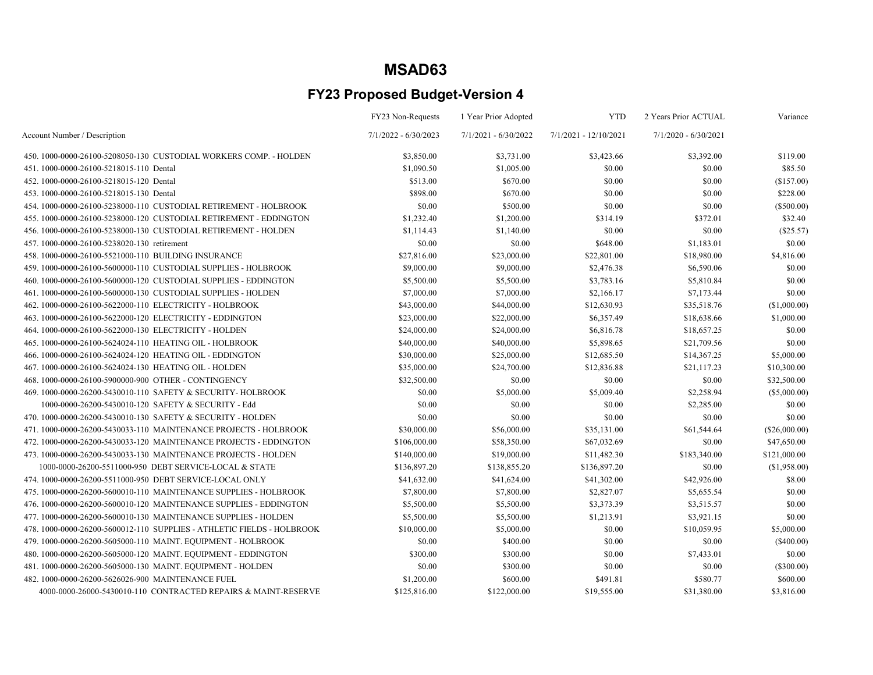|                                                                        | FY23 Non-Requests      | 1 Year Prior Adopted   | <b>YTD</b>            | 2 Years Prior ACTUAL   | Variance       |
|------------------------------------------------------------------------|------------------------|------------------------|-----------------------|------------------------|----------------|
| Account Number / Description                                           | $7/1/2022 - 6/30/2023$ | $7/1/2021 - 6/30/2022$ | 7/1/2021 - 12/10/2021 | $7/1/2020 - 6/30/2021$ |                |
| 450, 1000-0000-26100-5208050-130 CUSTODIAL WORKERS COMP. - HOLDEN      | \$3,850.00             | \$3,731.00             | \$3,423.66            | \$3,392.00             | \$119.00       |
| 451.1000-0000-26100-5218015-110 Dental                                 | \$1,090.50             | \$1,005.00             | \$0.00                | \$0.00                 | \$85.50        |
| 452.1000-0000-26100-5218015-120 Dental                                 | \$513.00               | \$670.00               | \$0.00                | \$0.00                 | (\$157.00)     |
| 453.1000-0000-26100-5218015-130 Dental                                 | \$898.00               | \$670.00               | \$0.00                | \$0.00                 | \$228.00       |
| 454.1000-0000-26100-5238000-110 CUSTODIAL RETIREMENT - HOLBROOK        | \$0.00                 | \$500.00               | \$0.00                | \$0.00                 | (\$500.00)     |
| 455, 1000-0000-26100-5238000-120 CUSTODIAL RETIREMENT - EDDINGTON      | \$1,232.40             | \$1,200.00             | \$314.19              | \$372.01               | \$32.40        |
| 456.1000-0000-26100-5238000-130 CUSTODIAL RETIREMENT - HOLDEN          | \$1,114.43             | \$1,140.00             | \$0.00                | \$0.00                 | (\$25.57)      |
| 457.1000-0000-26100-5238020-130 retirement                             | \$0.00                 | \$0.00                 | \$648.00              | \$1,183.01             | \$0.00         |
| 458.1000-0000-26100-5521000-110 BUILDING INSURANCE                     | \$27,816.00            | \$23,000.00            | \$22,801.00           | \$18,980.00            | \$4,816.00     |
| 459. 1000-0000-26100-5600000-110 CUSTODIAL SUPPLIES - HOLBROOK         | \$9,000.00             | \$9,000.00             | \$2,476.38            | \$6,590.06             | \$0.00         |
| 460.1000-0000-26100-5600000-120 CUSTODIAL SUPPLIES - EDDINGTON         | \$5,500.00             | \$5,500.00             | \$3,783.16            | \$5,810.84             | \$0.00         |
| 461.1000-0000-26100-5600000-130 CUSTODIAL SUPPLIES - HOLDEN            | \$7,000.00             | \$7,000.00             | \$2,166.17            | \$7,173.44             | \$0.00         |
| 462. 1000-0000-26100-5622000-110 ELECTRICITY - HOLBROOK                | \$43,000.00            | \$44,000.00            | \$12,630.93           | \$35,518.76            | (\$1,000.00)   |
| 463.1000-0000-26100-5622000-120 ELECTRICITY - EDDINGTON                | \$23,000.00            | \$22,000.00            | \$6,357.49            | \$18,638.66            | \$1,000.00     |
| 464.1000-0000-26100-5622000-130 ELECTRICITY - HOLDEN                   | \$24,000.00            | \$24,000.00            | \$6,816.78            | \$18,657.25            | \$0.00         |
| 465. 1000-0000-26100-5624024-110 HEATING OIL - HOLBROOK                | \$40,000.00            | \$40,000.00            | \$5,898.65            | \$21,709.56            | \$0.00         |
| 466, 1000-0000-26100-5624024-120 HEATING OIL - EDDINGTON               | \$30,000.00            | \$25,000.00            | \$12,685.50           | \$14,367.25            | \$5,000.00     |
| 467. 1000-0000-26100-5624024-130 HEATING OIL - HOLDEN                  | \$35,000.00            | \$24,700.00            | \$12,836.88           | \$21,117.23            | \$10,300.00    |
| 468.1000-0000-26100-5900000-900 OTHER - CONTINGENCY                    | \$32,500.00            | \$0.00                 | \$0.00                | \$0.00                 | \$32,500.00    |
| 469. 1000-0000-26200-5430010-110 SAFETY & SECURITY-HOLBROOK            | \$0.00                 | \$5,000.00             | \$5,009.40            | \$2,258.94             | $(\$5,000.00)$ |
| 1000-0000-26200-5430010-120 SAFETY & SECURITY - Edd                    | \$0.00                 | \$0.00                 | \$0.00                | \$2,285.00             | \$0.00         |
| 470, 1000-0000-26200-5430010-130 SAFETY & SECURITY - HOLDEN            | \$0.00                 | \$0.00                 | \$0.00                | \$0.00                 | \$0.00         |
| 471, 1000-0000-26200-5430033-110 MAINTENANCE PROJECTS - HOLBROOK       | \$30,000.00            | \$56,000.00            | \$35,131.00           | \$61,544.64            | (\$26,000.00)  |
| 472. 1000-0000-26200-5430033-120 MAINTENANCE PROJECTS - EDDINGTON      | \$106,000.00           | \$58,350.00            | \$67,032.69           | \$0.00                 | \$47,650.00    |
| 473. 1000-0000-26200-5430033-130 MAINTENANCE PROJECTS - HOLDEN         | \$140,000.00           | \$19,000.00            | \$11,482.30           | \$183,340.00           | \$121,000.00   |
| 1000-0000-26200-5511000-950 DEBT SERVICE-LOCAL & STATE                 | \$136,897.20           | \$138,855.20           | \$136,897.20          | \$0.00                 | (\$1,958.00)   |
| 474.1000-0000-26200-5511000-950 DEBT SERVICE-LOCAL ONLY                | \$41,632.00            | \$41,624.00            | \$41,302.00           | \$42,926.00            | \$8.00         |
| 475. 1000-0000-26200-5600010-110 MAINTENANCE SUPPLIES - HOLBROOK       | \$7,800.00             | \$7,800.00             | \$2,827.07            | \$5,655.54             | \$0.00         |
| 476. 1000-0000-26200-5600010-120 MAINTENANCE SUPPLIES - EDDINGTON      | \$5,500.00             | \$5,500.00             | \$3,373.39            | \$3,515.57             | \$0.00         |
| 477. 1000-0000-26200-5600010-130 MAINTENANCE SUPPLIES - HOLDEN         | \$5,500.00             | \$5,500.00             | \$1,213.91            | \$3,921.15             | \$0.00         |
| 478. 1000-0000-26200-5600012-110 SUPPLIES - ATHLETIC FIELDS - HOLBROOK | \$10,000.00            | \$5,000.00             | \$0.00                | \$10,059.95            | \$5,000.00     |
| 479. 1000-0000-26200-5605000-110 MAINT. EQUIPMENT - HOLBROOK           | \$0.00                 | \$400.00               | \$0.00                | \$0.00                 | $(\$400.00)$   |
| 480. 1000-0000-26200-5605000-120 MAINT. EQUIPMENT - EDDINGTON          | \$300.00               | \$300.00               | \$0.00                | \$7,433.01             | \$0.00         |
| 481.1000-0000-26200-5605000-130 MAINT. EQUIPMENT - HOLDEN              | \$0.00                 | \$300.00               | \$0.00                | \$0.00                 | (\$300.00)     |
| 482. 1000-0000-26200-5626026-900 MAINTENANCE FUEL                      | \$1,200.00             | \$600.00               | \$491.81              | \$580.77               | \$600.00       |
| 4000-0000-26000-5430010-110 CONTRACTED REPAIRS & MAINT-RESERVE         | \$125,816.00           | \$122,000.00           | \$19,555.00           | \$31,380.00            | \$3,816.00     |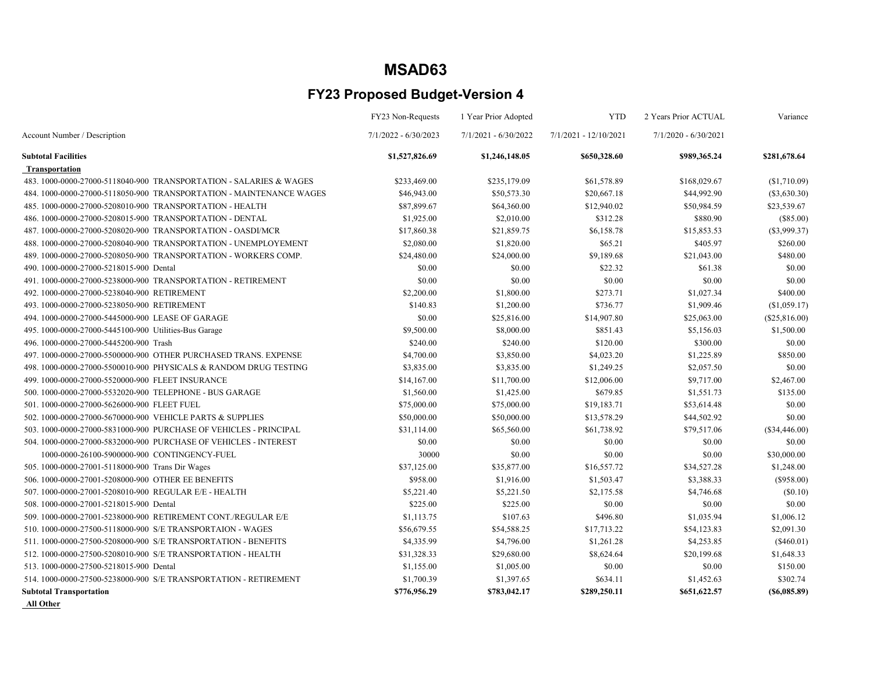### FY23 Proposed Budget-Version 4

|                                                                     | FY23 Non-Requests      | 1 Year Prior Adopted   | <b>YTD</b>            | 2 Years Prior ACTUAL   | Variance        |
|---------------------------------------------------------------------|------------------------|------------------------|-----------------------|------------------------|-----------------|
| Account Number / Description                                        | $7/1/2022 - 6/30/2023$ | $7/1/2021 - 6/30/2022$ | 7/1/2021 - 12/10/2021 | $7/1/2020 - 6/30/2021$ |                 |
| <b>Subtotal Facilities</b>                                          | \$1,527,826.69         | \$1,246,148.05         | \$650,328.60          | \$989,365.24           | \$281,678.64    |
| <b>Transportation</b>                                               |                        |                        |                       |                        |                 |
| 483.1000-0000-27000-5118040-900 TRANSPORTATION - SALARIES & WAGES   | \$233,469.00           | \$235,179.09           | \$61,578.89           | \$168,029.67           | (\$1,710.09)    |
| 484. 1000-0000-27000-5118050-900 TRANSPORTATION - MAINTENANCE WAGES | \$46,943.00            | \$50,573.30            | \$20,667.18           | \$44,992.90            | $(\$3,630.30)$  |
| 485, 1000-0000-27000-5208010-900 TRANSPORTATION - HEALTH            | \$87,899.67            | \$64,360.00            | \$12,940.02           | \$50,984.59            | \$23,539.67     |
| 486. 1000-0000-27000-5208015-900 TRANSPORTATION - DENTAL            | \$1,925.00             | \$2,010.00             | \$312.28              | \$880.90               | $(\$85.00)$     |
| 487.1000-0000-27000-5208020-900 TRANSPORTATION - OASDI/MCR          | \$17,860.38            | \$21,859.75            | \$6,158.78            | \$15,853.53            | $(\$3,999.37)$  |
| 488.1000-0000-27000-5208040-900 TRANSPORTATION - UNEMPLOYEMENT      | \$2,080.00             | \$1,820.00             | \$65.21               | \$405.97               | \$260.00        |
| 489. 1000-0000-27000-5208050-900 TRANSPORTATION - WORKERS COMP.     | \$24,480.00            | \$24,000.00            | \$9,189.68            | \$21,043.00            | \$480.00        |
| 490. 1000-0000-27000-5218015-900 Dental                             | \$0.00                 | \$0.00                 | \$22.32               | \$61.38                | \$0.00          |
| 491.1000-0000-27000-5238000-900 TRANSPORTATION - RETIREMENT         | \$0.00                 | \$0.00                 | \$0.00                | \$0.00                 | \$0.00          |
| 492.1000-0000-27000-5238040-900 RETIREMENT                          | \$2,200.00             | \$1,800.00             | \$273.71              | \$1,027.34             | \$400.00        |
| 493.1000-0000-27000-5238050-900 RETIREMENT                          | \$140.83               | \$1,200.00             | \$736.77              | \$1,909.46             | (\$1,059.17)    |
| 494. 1000-0000-27000-5445000-900 LEASE OF GARAGE                    | \$0.00                 | \$25,816.00            | \$14,907.80           | \$25,063.00            | (\$25,816.00)   |
| 495. 1000-0000-27000-5445100-900 Utilities-Bus Garage               | \$9,500.00             | \$8,000.00             | \$851.43              | \$5,156.03             | \$1,500.00      |
| 496.1000-0000-27000-5445200-900 Trash                               | \$240.00               | \$240.00               | \$120.00              | \$300.00               | \$0.00          |
| 497. 1000-0000-27000-5500000-900 OTHER PURCHASED TRANS. EXPENSE     | \$4,700.00             | \$3,850.00             | \$4,023.20            | \$1,225.89             | \$850.00        |
| 498.1000-0000-27000-5500010-900 PHYSICALS & RANDOM DRUG TESTING     | \$3,835.00             | \$3,835.00             | \$1,249.25            | \$2,057.50             | \$0.00          |
| 499. 1000-0000-27000-5520000-900 FLEET INSURANCE                    | \$14,167.00            | \$11,700.00            | \$12,006.00           | \$9,717.00             | \$2,467.00      |
| 500, 1000-0000-27000-5532020-900 TELEPHONE - BUS GARAGE             | \$1,560.00             | \$1,425.00             | \$679.85              | \$1,551.73             | \$135.00        |
| 501.1000-0000-27000-5626000-900 FLEET FUEL                          | \$75,000.00            | \$75,000.00            | \$19,183.71           | \$53,614.48            | \$0.00          |
| 502. 1000-0000-27000-5670000-900 VEHICLE PARTS & SUPPLIES           | \$50,000.00            | \$50,000.00            | \$13,578.29           | \$44,502.92            | \$0.00          |
| 503. 1000-0000-27000-5831000-900 PURCHASE OF VEHICLES - PRINCIPAL   | \$31,114.00            | \$65,560.00            | \$61,738.92           | \$79,517.06            | (\$34,446.00)   |
| 504. 1000-0000-27000-5832000-900 PURCHASE OF VEHICLES - INTEREST    | \$0.00                 | \$0.00                 | \$0.00                | \$0.00                 | \$0.00          |
| 1000-0000-26100-5900000-900 CONTINGENCY-FUEL                        | 30000                  | \$0.00                 | \$0.00                | \$0.00                 | \$30,000.00     |
| 505. 1000-0000-27001-5118000-900 Trans Dir Wages                    | \$37,125.00            | \$35,877.00            | \$16,557.72           | \$34,527.28            | \$1,248.00      |
| 506, 1000-0000-27001-5208000-900 OTHER EE BENEFITS                  | \$958.00               | \$1,916.00             | \$1,503.47            | \$3,388.33             | (\$958.00)      |
| 507.1000-0000-27001-5208010-900 REGULAR E/E - HEALTH                | \$5,221.40             | \$5,221.50             | \$2,175.58            | \$4,746.68             | (S0.10)         |
| 508.1000-0000-27001-5218015-900 Dental                              | \$225.00               | \$225.00               | \$0.00                | \$0.00                 | \$0.00          |
| 509. 1000-0000-27001-5238000-900 RETIREMENT CONT./REGULAR E/E       | \$1,113.75             | \$107.63               | \$496.80              | \$1,035.94             | \$1,006.12      |
| 510, 1000-0000-27500-5118000-900 S/E TRANSPORTAION - WAGES          | \$56,679.55            | \$54,588.25            | \$17,713.22           | \$54,123.83            | \$2,091.30      |
| 511. 1000-0000-27500-5208000-900 S/E TRANSPORTATION - BENEFITS      | \$4,335.99             | \$4,796.00             | \$1,261.28            | \$4,253.85             | $(\$460.01)$    |
| 512. 1000-0000-27500-5208010-900 S/E TRANSPORTATION - HEALTH        | \$31,328.33            | \$29,680.00            | \$8,624.64            | \$20,199.68            | \$1,648.33      |
| 513.1000-0000-27500-5218015-900 Dental                              | \$1,155.00             | \$1,005.00             | \$0.00                | \$0.00                 | \$150.00        |
| 514.1000-0000-27500-5238000-900 S/E TRANSPORTATION - RETIREMENT     | \$1,700.39             | \$1,397.65             | \$634.11              | \$1,452.63             | \$302.74        |
| <b>Subtotal Transportation</b>                                      | \$776,956.29           | \$783,042.17           | \$289,250.11          | \$651,622.57           | $($ \$6,085.89) |

All Other